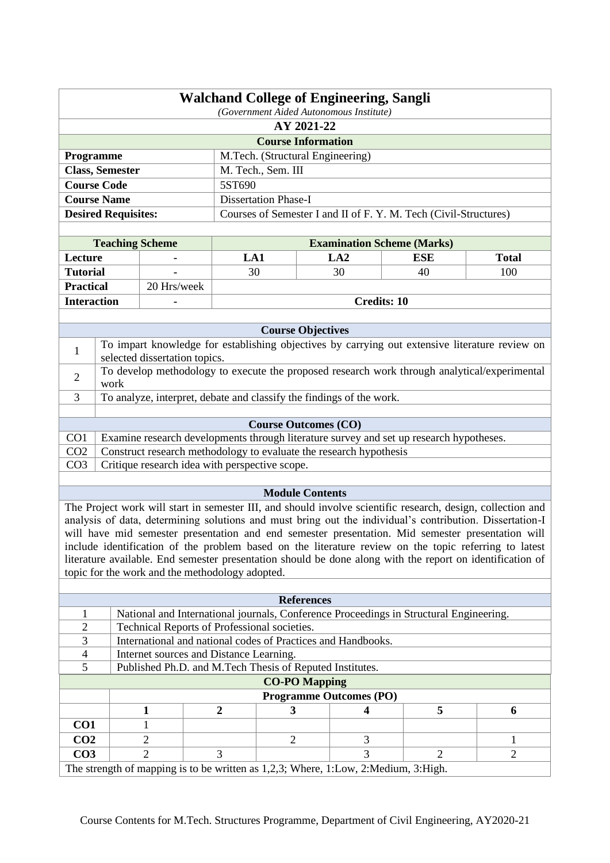|                                                                                                | <b>Walchand College of Engineering, Sangli</b> |  |
|------------------------------------------------------------------------------------------------|------------------------------------------------|--|
|                                                                                                | (Government Aided Autonomous Institute)        |  |
|                                                                                                | AY 2021-22                                     |  |
|                                                                                                | <b>Course Information</b>                      |  |
| <b>Programme</b>                                                                               | M.Tech. (Structural Engineering)               |  |
| <b>Class, Semester</b>                                                                         | M. Tech., Sem. III                             |  |
| <b>Course Code</b>                                                                             | 5ST690                                         |  |
| <b>Course Name</b>                                                                             | <b>Dissertation Phase-I</b>                    |  |
| <b>Desired Requisites:</b><br>Courses of Semester I and II of F. Y. M. Tech (Civil-Structures) |                                                |  |
|                                                                                                |                                                |  |

| <b>Teaching Scheme</b> |             | <b>Examination Scheme (Marks)</b> |     |     |              |  |
|------------------------|-------------|-----------------------------------|-----|-----|--------------|--|
| Lecture                | ۰           | LA 1                              | LA2 | ESE | <b>Total</b> |  |
| <b>Tutorial</b>        |             | 30                                | 30  | 40  | 100          |  |
| <b>Practical</b>       | 20 Hrs/week |                                   |     |     |              |  |
| <b>Interaction</b>     |             | <b>Credits: 10</b>                |     |     |              |  |

|                 | <b>Course Objectives</b>                                                                                                                                                                                                                                                                                                                                                                                                                                                                                                                                                                              |
|-----------------|-------------------------------------------------------------------------------------------------------------------------------------------------------------------------------------------------------------------------------------------------------------------------------------------------------------------------------------------------------------------------------------------------------------------------------------------------------------------------------------------------------------------------------------------------------------------------------------------------------|
| $\mathbf{1}$    | To impart knowledge for establishing objectives by carrying out extensive literature review on<br>selected dissertation topics.                                                                                                                                                                                                                                                                                                                                                                                                                                                                       |
| $\overline{2}$  | To develop methodology to execute the proposed research work through analytical/experimental<br>work                                                                                                                                                                                                                                                                                                                                                                                                                                                                                                  |
| $\mathcal{F}$   | To analyze, interpret, debate and classify the findings of the work.                                                                                                                                                                                                                                                                                                                                                                                                                                                                                                                                  |
|                 |                                                                                                                                                                                                                                                                                                                                                                                                                                                                                                                                                                                                       |
|                 | <b>Course Outcomes (CO)</b>                                                                                                                                                                                                                                                                                                                                                                                                                                                                                                                                                                           |
| CO <sub>1</sub> | Examine research developments through literature survey and set up research hypotheses.                                                                                                                                                                                                                                                                                                                                                                                                                                                                                                               |
| CO <sub>2</sub> | Construct research methodology to evaluate the research hypothesis                                                                                                                                                                                                                                                                                                                                                                                                                                                                                                                                    |
| CO <sub>3</sub> | Critique research idea with perspective scope.                                                                                                                                                                                                                                                                                                                                                                                                                                                                                                                                                        |
|                 |                                                                                                                                                                                                                                                                                                                                                                                                                                                                                                                                                                                                       |
|                 | <b>Module Contents</b>                                                                                                                                                                                                                                                                                                                                                                                                                                                                                                                                                                                |
|                 | The Project work will start in semester III, and should involve scientific research, design, collection and<br>analysis of data, determining solutions and must bring out the individual's contribution. Dissertation-I<br>will have mid semester presentation and end semester presentation. Mid semester presentation will<br>include identification of the problem based on the literature review on the topic referring to latest<br>literature available. End semester presentation should be done along with the report on identification of<br>topic for the work and the methodology adopted. |

| <b>References</b>                                                                  |                                                          |                                              |                                                                                        |  |   |  |  |
|------------------------------------------------------------------------------------|----------------------------------------------------------|----------------------------------------------|----------------------------------------------------------------------------------------|--|---|--|--|
|                                                                                    |                                                          |                                              | National and International journals, Conference Proceedings in Structural Engineering. |  |   |  |  |
| 2                                                                                  |                                                          | Technical Reports of Professional societies. |                                                                                        |  |   |  |  |
|                                                                                    |                                                          |                                              | International and national codes of Practices and Handbooks.                           |  |   |  |  |
|                                                                                    | Internet sources and Distance Learning.                  |                                              |                                                                                        |  |   |  |  |
|                                                                                    | Published Ph.D. and M.Tech Thesis of Reputed Institutes. |                                              |                                                                                        |  |   |  |  |
|                                                                                    | <b>CO-PO Mapping</b>                                     |                                              |                                                                                        |  |   |  |  |
|                                                                                    | <b>Programme Outcomes (PO)</b>                           |                                              |                                                                                        |  |   |  |  |
|                                                                                    |                                                          | 2                                            | 3                                                                                      |  | 5 |  |  |
| CO <sub>1</sub>                                                                    |                                                          |                                              |                                                                                        |  |   |  |  |
| CO <sub>2</sub>                                                                    | 3<br>↑<br>$\mathcal{D}$                                  |                                              |                                                                                        |  |   |  |  |
| CO <sub>3</sub>                                                                    | 3<br>3<br>っ<br>2                                         |                                              |                                                                                        |  |   |  |  |
| The strength of mapping is to be written as 1,2,3; Where, 1:Low, 2:Medium, 3:High. |                                                          |                                              |                                                                                        |  |   |  |  |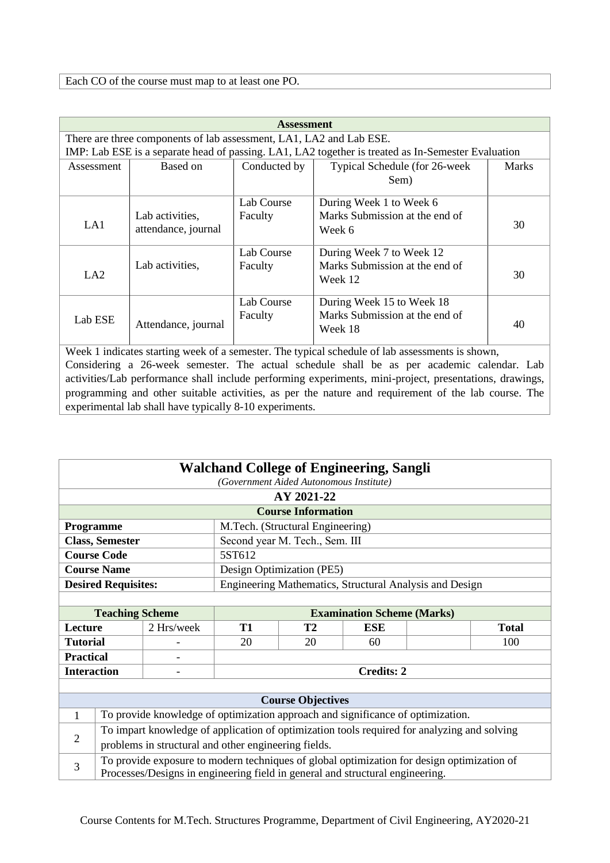|            | <b>Assessment</b>                                                   |              |                                                                                                    |              |  |  |
|------------|---------------------------------------------------------------------|--------------|----------------------------------------------------------------------------------------------------|--------------|--|--|
|            | There are three components of lab assessment, LA1, LA2 and Lab ESE. |              |                                                                                                    |              |  |  |
|            |                                                                     |              | IMP: Lab ESE is a separate head of passing. LA1, LA2 together is treated as In-Semester Evaluation |              |  |  |
| Assessment | Based on                                                            | Conducted by | Typical Schedule (for 26-week                                                                      | <b>Marks</b> |  |  |
|            |                                                                     |              | Sem)                                                                                               |              |  |  |
|            |                                                                     | Lab Course   | During Week 1 to Week 6                                                                            |              |  |  |
|            | Lab activities,                                                     | Faculty      | Marks Submission at the end of                                                                     |              |  |  |
| LA1        | attendance, journal                                                 |              | Week 6                                                                                             | 30           |  |  |
|            |                                                                     | Lab Course   | During Week 7 to Week 12                                                                           |              |  |  |
|            | Lab activities,                                                     | Faculty      | Marks Submission at the end of                                                                     |              |  |  |
| LA2        |                                                                     |              | Week 12                                                                                            | 30           |  |  |
|            |                                                                     | Lab Course   | During Week 15 to Week 18                                                                          |              |  |  |
| Lab ESE    |                                                                     | Faculty      | Marks Submission at the end of                                                                     |              |  |  |
|            | Attendance, journal                                                 |              | Week 18                                                                                            | 40           |  |  |

| <b>Walchand College of Engineering, Sangli</b> |                                                                                                                                                                             |                                                                                             |           |                                  |                                                         |  |              |
|------------------------------------------------|-----------------------------------------------------------------------------------------------------------------------------------------------------------------------------|---------------------------------------------------------------------------------------------|-----------|----------------------------------|---------------------------------------------------------|--|--------------|
| (Government Aided Autonomous Institute)        |                                                                                                                                                                             |                                                                                             |           |                                  |                                                         |  |              |
|                                                |                                                                                                                                                                             |                                                                                             |           | AY 2021-22                       |                                                         |  |              |
|                                                |                                                                                                                                                                             |                                                                                             |           | <b>Course Information</b>        |                                                         |  |              |
| Programme                                      |                                                                                                                                                                             |                                                                                             |           | M.Tech. (Structural Engineering) |                                                         |  |              |
|                                                | <b>Class, Semester</b>                                                                                                                                                      |                                                                                             |           | Second year M. Tech., Sem. III   |                                                         |  |              |
|                                                | <b>Course Code</b>                                                                                                                                                          |                                                                                             | 5ST612    |                                  |                                                         |  |              |
|                                                | <b>Course Name</b>                                                                                                                                                          |                                                                                             |           | Design Optimization (PE5)        |                                                         |  |              |
|                                                | <b>Desired Requisites:</b>                                                                                                                                                  |                                                                                             |           |                                  | Engineering Mathematics, Structural Analysis and Design |  |              |
|                                                |                                                                                                                                                                             |                                                                                             |           |                                  |                                                         |  |              |
|                                                | <b>Teaching Scheme</b>                                                                                                                                                      |                                                                                             |           |                                  | <b>Examination Scheme (Marks)</b>                       |  |              |
| Lecture                                        |                                                                                                                                                                             | 2 Hrs/week                                                                                  | <b>T1</b> | <b>T2</b>                        | <b>ESE</b>                                              |  | <b>Total</b> |
| <b>Tutorial</b>                                |                                                                                                                                                                             |                                                                                             | 20        | 20                               | 60                                                      |  | 100          |
| <b>Practical</b>                               |                                                                                                                                                                             |                                                                                             |           |                                  |                                                         |  |              |
| <b>Interaction</b>                             |                                                                                                                                                                             |                                                                                             |           |                                  | <b>Credits: 2</b>                                       |  |              |
|                                                |                                                                                                                                                                             |                                                                                             |           |                                  |                                                         |  |              |
|                                                |                                                                                                                                                                             |                                                                                             |           | <b>Course Objectives</b>         |                                                         |  |              |
| $\mathbf{1}$                                   |                                                                                                                                                                             | To provide knowledge of optimization approach and significance of optimization.             |           |                                  |                                                         |  |              |
| $\overline{2}$                                 |                                                                                                                                                                             | To impart knowledge of application of optimization tools required for analyzing and solving |           |                                  |                                                         |  |              |
|                                                |                                                                                                                                                                             | problems in structural and other engineering fields.                                        |           |                                  |                                                         |  |              |
| 3                                              |                                                                                                                                                                             |                                                                                             |           |                                  |                                                         |  |              |
|                                                | To provide exposure to modern techniques of global optimization for design optimization of<br>Processes/Designs in engineering field in general and structural engineering. |                                                                                             |           |                                  |                                                         |  |              |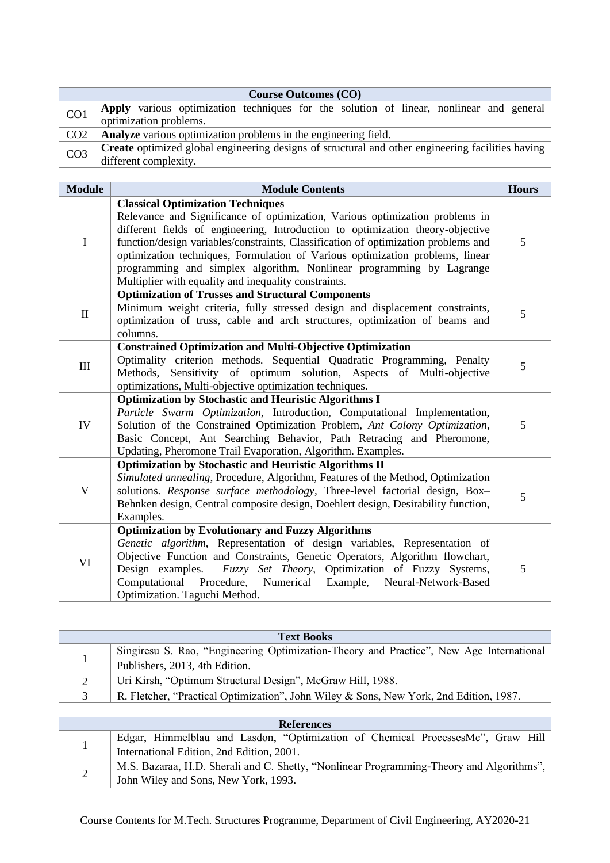|                 | <b>Course Outcomes (CO)</b>                                                                                                                                                                                                                                                                                                                                                                                                                                           |              |
|-----------------|-----------------------------------------------------------------------------------------------------------------------------------------------------------------------------------------------------------------------------------------------------------------------------------------------------------------------------------------------------------------------------------------------------------------------------------------------------------------------|--------------|
| CO1             | Apply various optimization techniques for the solution of linear, nonlinear and general                                                                                                                                                                                                                                                                                                                                                                               |              |
| CO <sub>2</sub> | optimization problems.<br>Analyze various optimization problems in the engineering field.                                                                                                                                                                                                                                                                                                                                                                             |              |
|                 | Create optimized global engineering designs of structural and other engineering facilities having                                                                                                                                                                                                                                                                                                                                                                     |              |
| CO <sub>3</sub> | different complexity.                                                                                                                                                                                                                                                                                                                                                                                                                                                 |              |
|                 |                                                                                                                                                                                                                                                                                                                                                                                                                                                                       |              |
| <b>Module</b>   | <b>Module Contents</b>                                                                                                                                                                                                                                                                                                                                                                                                                                                | <b>Hours</b> |
|                 | <b>Classical Optimization Techniques</b>                                                                                                                                                                                                                                                                                                                                                                                                                              |              |
| I               | Relevance and Significance of optimization, Various optimization problems in<br>different fields of engineering, Introduction to optimization theory-objective<br>function/design variables/constraints, Classification of optimization problems and<br>optimization techniques, Formulation of Various optimization problems, linear<br>programming and simplex algorithm, Nonlinear programming by Lagrange<br>Multiplier with equality and inequality constraints. | 5            |
|                 | <b>Optimization of Trusses and Structural Components</b>                                                                                                                                                                                                                                                                                                                                                                                                              |              |
| $\mathbf{I}$    | Minimum weight criteria, fully stressed design and displacement constraints,<br>optimization of truss, cable and arch structures, optimization of beams and<br>columns.                                                                                                                                                                                                                                                                                               | 5            |
|                 | <b>Constrained Optimization and Multi-Objective Optimization</b>                                                                                                                                                                                                                                                                                                                                                                                                      |              |
| III             | Optimality criterion methods. Sequential Quadratic Programming, Penalty<br>Sensitivity of optimum solution, Aspects of Multi-objective<br>Methods,<br>optimizations, Multi-objective optimization techniques.                                                                                                                                                                                                                                                         | 5            |
|                 | <b>Optimization by Stochastic and Heuristic Algorithms I</b>                                                                                                                                                                                                                                                                                                                                                                                                          |              |
| IV              | Particle Swarm Optimization, Introduction, Computational Implementation,<br>Solution of the Constrained Optimization Problem, Ant Colony Optimization,<br>Basic Concept, Ant Searching Behavior, Path Retracing and Pheromone,<br>Updating, Pheromone Trail Evaporation, Algorithm. Examples.                                                                                                                                                                         | 5            |
|                 | <b>Optimization by Stochastic and Heuristic Algorithms II</b>                                                                                                                                                                                                                                                                                                                                                                                                         |              |
| $\mathbf V$     | Simulated annealing, Procedure, Algorithm, Features of the Method, Optimization<br>solutions. Response surface methodology, Three-level factorial design, Box-<br>Behnken design, Central composite design, Doehlert design, Desirability function,<br>Examples.                                                                                                                                                                                                      | 5            |
|                 | <b>Optimization by Evolutionary and Fuzzy Algorithms</b>                                                                                                                                                                                                                                                                                                                                                                                                              |              |
| VI              | Genetic algorithm, Representation of design variables, Representation of<br>Objective Function and Constraints, Genetic Operators, Algorithm flowchart,<br>Fuzzy Set Theory, Optimization of Fuzzy Systems,<br>Design examples.<br>Computational<br>Procedure,<br>Numerical<br>Example,<br>Neural-Network-Based<br>Optimization. Taguchi Method.                                                                                                                      | 5            |
|                 |                                                                                                                                                                                                                                                                                                                                                                                                                                                                       |              |
|                 |                                                                                                                                                                                                                                                                                                                                                                                                                                                                       |              |
|                 | <b>Text Books</b>                                                                                                                                                                                                                                                                                                                                                                                                                                                     |              |
| $\mathbf{1}$    | Singiresu S. Rao, "Engineering Optimization-Theory and Practice", New Age International<br>Publishers, 2013, 4th Edition.                                                                                                                                                                                                                                                                                                                                             |              |
| $\overline{2}$  | Uri Kirsh, "Optimum Structural Design", McGraw Hill, 1988.                                                                                                                                                                                                                                                                                                                                                                                                            |              |
| 3               | R. Fletcher, "Practical Optimization", John Wiley & Sons, New York, 2nd Edition, 1987.                                                                                                                                                                                                                                                                                                                                                                                |              |
|                 |                                                                                                                                                                                                                                                                                                                                                                                                                                                                       |              |
|                 | <b>References</b>                                                                                                                                                                                                                                                                                                                                                                                                                                                     |              |
| $\mathbf{1}$    | Edgar, Himmelblau and Lasdon, "Optimization of Chemical ProcessesMc", Graw Hill<br>International Edition, 2nd Edition, 2001.                                                                                                                                                                                                                                                                                                                                          |              |
| $\overline{c}$  | M.S. Bazaraa, H.D. Sherali and C. Shetty, "Nonlinear Programming-Theory and Algorithms",<br>John Wiley and Sons, New York, 1993.                                                                                                                                                                                                                                                                                                                                      |              |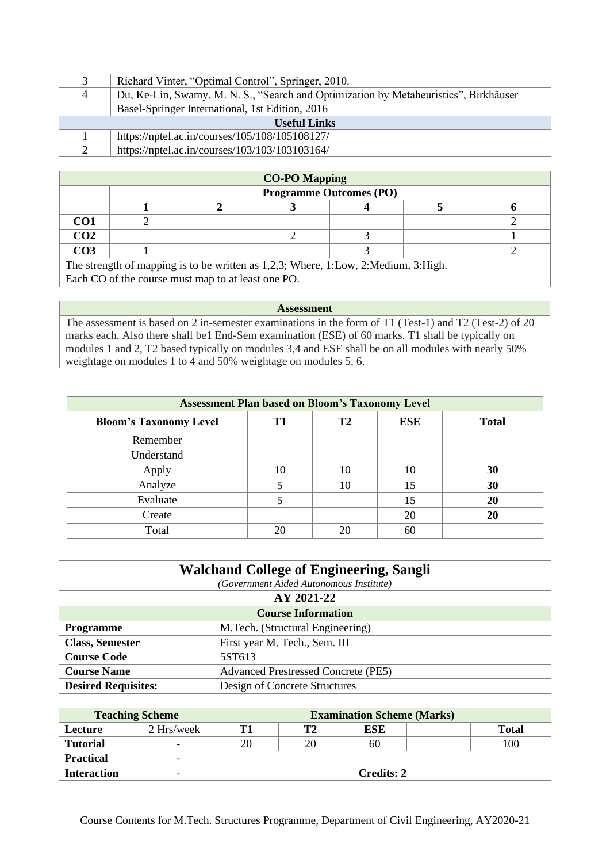|                     | Richard Vinter, "Optimal Control", Springer, 2010.                                   |  |  |  |
|---------------------|--------------------------------------------------------------------------------------|--|--|--|
| $\overline{4}$      | Du, Ke-Lin, Swamy, M. N. S., "Search and Optimization by Metaheuristics", Birkhäuser |  |  |  |
|                     | Basel-Springer International, 1st Edition, 2016                                      |  |  |  |
| <b>Useful Links</b> |                                                                                      |  |  |  |
|                     | https://nptel.ac.in/courses/105/108/105108127/                                       |  |  |  |
|                     | https://nptel.ac.in/courses/103/103/103103164/                                       |  |  |  |

| <b>CO-PO Mapping</b>           |  |  |  |  |  |  |  |
|--------------------------------|--|--|--|--|--|--|--|
| <b>Programme Outcomes (PO)</b> |  |  |  |  |  |  |  |
|                                |  |  |  |  |  |  |  |
| $\mathbf{C}$                   |  |  |  |  |  |  |  |
| CO <sub>2</sub>                |  |  |  |  |  |  |  |
| റവ                             |  |  |  |  |  |  |  |

The strength of mapping is to be written as 1,2,3; Where, 1:Low, 2:Medium, 3:High. Each CO of the course must map to at least one PO.

**Assessment** 

The assessment is based on 2 in-semester examinations in the form of T1 (Test-1) and T2 (Test-2) of 20 marks each. Also there shall be1 End-Sem examination (ESE) of 60 marks. T1 shall be typically on modules 1 and 2, T2 based typically on modules 3,4 and ESE shall be on all modules with nearly 50% weightage on modules 1 to 4 and 50% weightage on modules 5, 6.

| <b>Assessment Plan based on Bloom's Taxonomy Level</b> |    |           |            |              |  |  |
|--------------------------------------------------------|----|-----------|------------|--------------|--|--|
| <b>Bloom's Taxonomy Level</b>                          | T1 | <b>T2</b> | <b>ESE</b> | <b>Total</b> |  |  |
| Remember                                               |    |           |            |              |  |  |
| Understand                                             |    |           |            |              |  |  |
| Apply                                                  | 10 | 10        | 10         | 30           |  |  |
| Analyze                                                |    | 10        | 15         | 30           |  |  |
| Evaluate                                               |    |           | 15         | <b>20</b>    |  |  |
| Create                                                 |    |           | 20         | 20           |  |  |
| Total                                                  |    |           | 60         |              |  |  |

| <b>Walchand College of Engineering, Sangli</b>          |                                            |  |  |  |  |
|---------------------------------------------------------|--------------------------------------------|--|--|--|--|
|                                                         | (Government Aided Autonomous Institute)    |  |  |  |  |
| AY 2021-22                                              |                                            |  |  |  |  |
| <b>Course Information</b>                               |                                            |  |  |  |  |
| M.Tech. (Structural Engineering)<br><b>Programme</b>    |                                            |  |  |  |  |
| <b>Class, Semester</b><br>First year M. Tech., Sem. III |                                            |  |  |  |  |
| <b>Course Code</b>                                      | 5ST613                                     |  |  |  |  |
| <b>Course Name</b>                                      | <b>Advanced Prestressed Concrete (PE5)</b> |  |  |  |  |
| Design of Concrete Structures                           |                                            |  |  |  |  |
| <b>Desired Requisites:</b>                              |                                            |  |  |  |  |

| <b>Teaching Scheme</b> |                          | <b>Examination Scheme (Marks)</b> |    |     |              |  |
|------------------------|--------------------------|-----------------------------------|----|-----|--------------|--|
| <b>Lecture</b>         | 2 Hrs/week               | Т1                                | T2 | ESE | <b>Total</b> |  |
| <b>Tutorial</b>        | $\overline{\phantom{0}}$ | 20                                | 20 | 60  | 100          |  |
| <b>Practical</b>       | $\overline{\phantom{0}}$ |                                   |    |     |              |  |
| <b>Interaction</b>     | $\overline{\phantom{0}}$ | <b>Credits: 2</b>                 |    |     |              |  |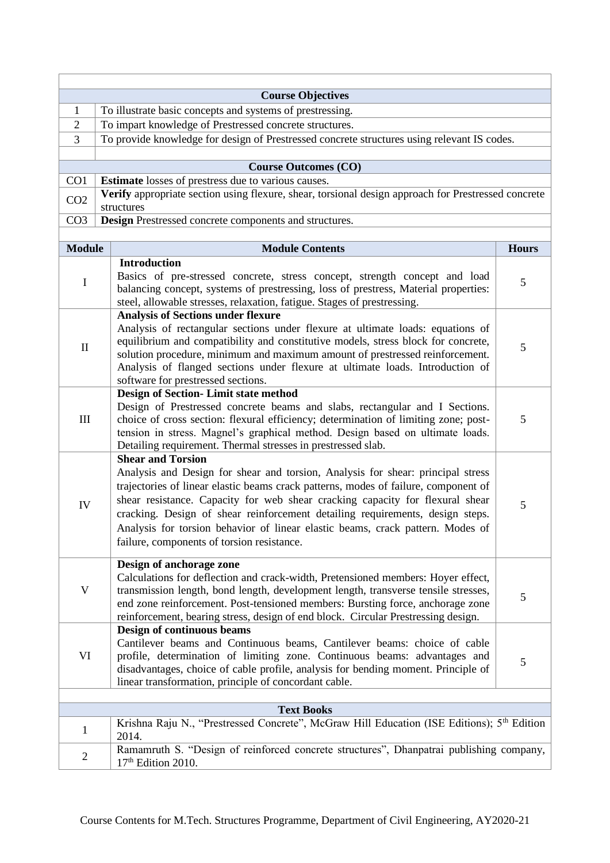|                             | <b>Course Objectives</b>                                                                                     |              |  |  |  |  |
|-----------------------------|--------------------------------------------------------------------------------------------------------------|--------------|--|--|--|--|
| 1                           | To illustrate basic concepts and systems of prestressing.                                                    |              |  |  |  |  |
| $\overline{2}$              | To impart knowledge of Prestressed concrete structures.                                                      |              |  |  |  |  |
| 3                           | To provide knowledge for design of Prestressed concrete structures using relevant IS codes.                  |              |  |  |  |  |
|                             |                                                                                                              |              |  |  |  |  |
|                             | <b>Course Outcomes (CO)</b>                                                                                  |              |  |  |  |  |
| CO1                         | <b>Estimate</b> losses of prestress due to various causes.                                                   |              |  |  |  |  |
| CO <sub>2</sub>             | Verify appropriate section using flexure, shear, torsional design approach for Prestressed concrete          |              |  |  |  |  |
| CO <sub>3</sub>             | structures<br>Design Prestressed concrete components and structures.                                         |              |  |  |  |  |
|                             |                                                                                                              |              |  |  |  |  |
| <b>Module</b>               | <b>Module Contents</b>                                                                                       | <b>Hours</b> |  |  |  |  |
|                             | <b>Introduction</b>                                                                                          |              |  |  |  |  |
|                             | Basics of pre-stressed concrete, stress concept, strength concept and load                                   |              |  |  |  |  |
| $\mathbf I$                 | balancing concept, systems of prestressing, loss of prestress, Material properties:                          | 5            |  |  |  |  |
|                             | steel, allowable stresses, relaxation, fatigue. Stages of prestressing.                                      |              |  |  |  |  |
|                             | <b>Analysis of Sections under flexure</b>                                                                    |              |  |  |  |  |
|                             | Analysis of rectangular sections under flexure at ultimate loads: equations of                               |              |  |  |  |  |
|                             | equilibrium and compatibility and constitutive models, stress block for concrete,                            |              |  |  |  |  |
| $\mathbf{I}$                | solution procedure, minimum and maximum amount of prestressed reinforcement.                                 | 5            |  |  |  |  |
|                             | Analysis of flanged sections under flexure at ultimate loads. Introduction of                                |              |  |  |  |  |
|                             | software for prestressed sections.                                                                           |              |  |  |  |  |
|                             | <b>Design of Section-Limit state method</b>                                                                  |              |  |  |  |  |
|                             | Design of Prestressed concrete beams and slabs, rectangular and I Sections.                                  |              |  |  |  |  |
| $\mathop{\rm III}\nolimits$ | choice of cross section: flexural efficiency; determination of limiting zone; post-                          | 5            |  |  |  |  |
|                             | tension in stress. Magnel's graphical method. Design based on ultimate loads.                                |              |  |  |  |  |
|                             | Detailing requirement. Thermal stresses in prestressed slab.                                                 |              |  |  |  |  |
|                             | <b>Shear and Torsion</b>                                                                                     |              |  |  |  |  |
|                             | Analysis and Design for shear and torsion, Analysis for shear: principal stress                              |              |  |  |  |  |
|                             | trajectories of linear elastic beams crack patterns, modes of failure, component of                          |              |  |  |  |  |
| IV                          | shear resistance. Capacity for web shear cracking capacity for flexural shear                                | 5            |  |  |  |  |
|                             | cracking. Design of shear reinforcement detailing requirements, design steps.                                |              |  |  |  |  |
|                             | Analysis for torsion behavior of linear elastic beams, crack pattern. Modes of                               |              |  |  |  |  |
|                             | failure, components of torsion resistance.                                                                   |              |  |  |  |  |
|                             |                                                                                                              |              |  |  |  |  |
|                             | Design of anchorage zone<br>Calculations for deflection and crack-width, Pretensioned members: Hoyer effect, |              |  |  |  |  |
| V                           | transmission length, bond length, development length, transverse tensile stresses,                           |              |  |  |  |  |
|                             | end zone reinforcement. Post-tensioned members: Bursting force, anchorage zone                               | 5            |  |  |  |  |
|                             | reinforcement, bearing stress, design of end block. Circular Prestressing design.                            |              |  |  |  |  |
|                             | Design of continuous beams                                                                                   |              |  |  |  |  |
|                             | Cantilever beams and Continuous beams, Cantilever beams: choice of cable                                     |              |  |  |  |  |
| VI                          | profile, determination of limiting zone. Continuous beams: advantages and                                    |              |  |  |  |  |
|                             | disadvantages, choice of cable profile, analysis for bending moment. Principle of                            | 5            |  |  |  |  |
|                             | linear transformation, principle of concordant cable.                                                        |              |  |  |  |  |
|                             |                                                                                                              |              |  |  |  |  |
|                             | <b>Text Books</b>                                                                                            |              |  |  |  |  |
| $\mathbf{1}$                | Krishna Raju N., "Prestressed Concrete", McGraw Hill Education (ISE Editions); 5 <sup>th</sup> Edition       |              |  |  |  |  |
|                             | 2014.                                                                                                        |              |  |  |  |  |
| $\overline{c}$              | Ramamruth S. "Design of reinforced concrete structures", Dhanpatrai publishing company,                      |              |  |  |  |  |
|                             | $17th$ Edition 2010.                                                                                         |              |  |  |  |  |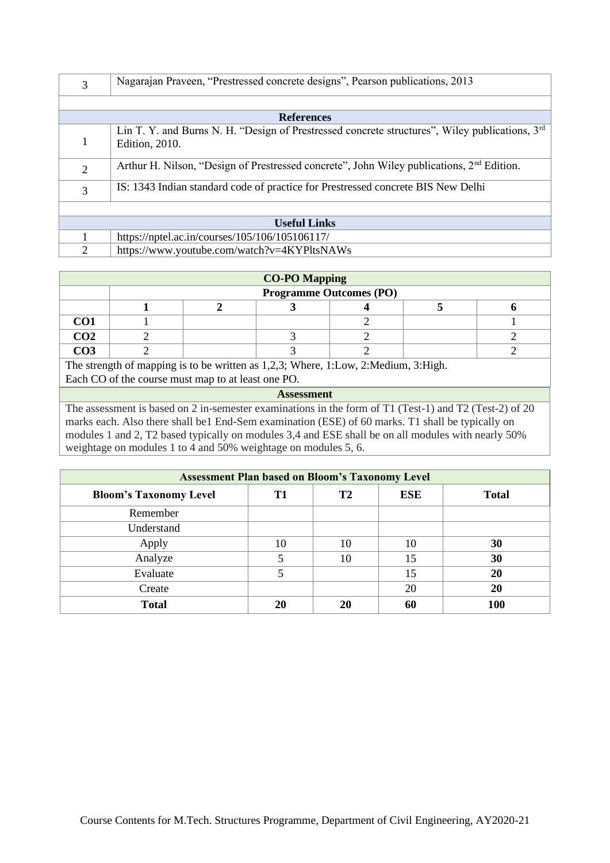| 3              | Nagarajan Praveen, "Prestressed concrete designs", Pearson publications, 2013                                                        |
|----------------|--------------------------------------------------------------------------------------------------------------------------------------|
|                |                                                                                                                                      |
|                | <b>References</b>                                                                                                                    |
|                | Lin T. Y. and Burns N. H. "Design of Prestressed concrete structures", Wiley publications, 3 <sup>rd</sup><br><b>Edition</b> , 2010. |
| $\overline{2}$ | Arthur H. Nilson, "Design of Prestressed concrete", John Wiley publications, $2nd$ Edition.                                          |
| 3              | IS: 1343 Indian standard code of practice for Prestressed concrete BIS New Delhi                                                     |
|                |                                                                                                                                      |
|                | <b>Useful Links</b>                                                                                                                  |
|                | https://nptel.ac.in/courses/105/106/105106117/                                                                                       |
| $\overline{2}$ | https://www.youtube.com/watch?v=4KYPltsNAWs                                                                                          |

|                 |                                                                                                                           | <b>CO-PO Mapping</b>           |  |  |
|-----------------|---------------------------------------------------------------------------------------------------------------------------|--------------------------------|--|--|
|                 |                                                                                                                           | <b>Programme Outcomes (PO)</b> |  |  |
|                 |                                                                                                                           |                                |  |  |
| CO <sub>1</sub> |                                                                                                                           |                                |  |  |
| CO <sub>2</sub> |                                                                                                                           |                                |  |  |
| CO <sub>3</sub> |                                                                                                                           |                                |  |  |
|                 | The strength of mapping is to be written as $1,2,3$ ; Where, 1:Low, 2:Medium, 3:High.                                     |                                |  |  |
|                 | Each CO of the course must map to at least one PO.                                                                        |                                |  |  |
|                 |                                                                                                                           | <b>Assessment</b>              |  |  |
|                 | The corresponding to $\alpha$ and $\alpha$ and $\alpha$ is corresponding to the form of T1 (Text 1) and T2 (Text 2) of 20 |                                |  |  |

The assessment is based on 2 in-semester examinations in the form of T1 (Test-1) and T2 (Test-2) of 20 marks each. Also there shall be1 End-Sem examination (ESE) of 60 marks. T1 shall be typically on modules 1 and 2, T2 based typically on modules 3,4 and ESE shall be on all modules with nearly 50% weightage on modules 1 to 4 and 50% weightage on modules 5, 6.

| <b>Assessment Plan based on Bloom's Taxonomy Level</b> |    |           |            |              |  |
|--------------------------------------------------------|----|-----------|------------|--------------|--|
| <b>Bloom's Taxonomy Level</b>                          | T1 | <b>T2</b> | <b>ESE</b> | <b>Total</b> |  |
| Remember                                               |    |           |            |              |  |
| Understand                                             |    |           |            |              |  |
| Apply                                                  | 10 | 10        | 10         | 30           |  |
| Analyze                                                |    | 10        | 15         | 30           |  |
| Evaluate                                               |    |           | 15         | <b>20</b>    |  |
| Create                                                 |    |           | 20         | 20           |  |
| <b>Total</b>                                           | 20 | 20        | 60         | 100          |  |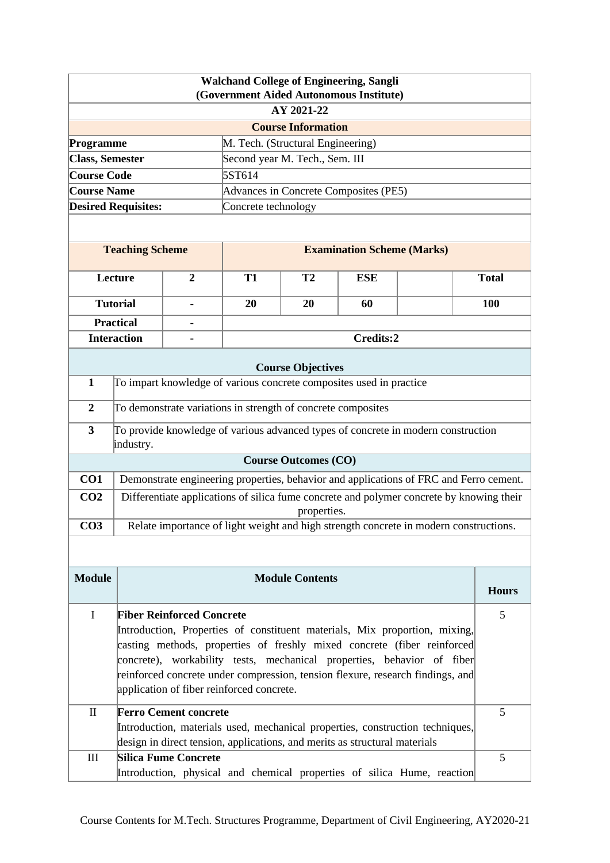|                             |                                                                                                                             |                                                                                                           |                     |                                   | <b>Walchand College of Engineering, Sangli</b><br>(Government Aided Autonomous Institute) |                                                                                          |              |
|-----------------------------|-----------------------------------------------------------------------------------------------------------------------------|-----------------------------------------------------------------------------------------------------------|---------------------|-----------------------------------|-------------------------------------------------------------------------------------------|------------------------------------------------------------------------------------------|--------------|
|                             |                                                                                                                             |                                                                                                           |                     | AY 2021-22                        |                                                                                           |                                                                                          |              |
|                             |                                                                                                                             |                                                                                                           |                     | <b>Course Information</b>         |                                                                                           |                                                                                          |              |
| Programme                   |                                                                                                                             |                                                                                                           |                     | M. Tech. (Structural Engineering) |                                                                                           |                                                                                          |              |
| <b>Class, Semester</b>      |                                                                                                                             |                                                                                                           |                     | Second year M. Tech., Sem. III    |                                                                                           |                                                                                          |              |
| <b>Course Code</b>          |                                                                                                                             |                                                                                                           | 5ST614              |                                   |                                                                                           |                                                                                          |              |
| <b>Course Name</b>          |                                                                                                                             |                                                                                                           |                     |                                   | Advances in Concrete Composites (PE5)                                                     |                                                                                          |              |
|                             | <b>Desired Requisites:</b>                                                                                                  |                                                                                                           | Concrete technology |                                   |                                                                                           |                                                                                          |              |
|                             |                                                                                                                             |                                                                                                           |                     |                                   |                                                                                           |                                                                                          |              |
|                             | <b>Teaching Scheme</b>                                                                                                      |                                                                                                           |                     |                                   | <b>Examination Scheme (Marks)</b>                                                         |                                                                                          |              |
|                             | Lecture                                                                                                                     | $\overline{2}$                                                                                            | <b>T1</b>           | T <sub>2</sub>                    | <b>ESE</b>                                                                                |                                                                                          | <b>Total</b> |
|                             | <b>Tutorial</b>                                                                                                             |                                                                                                           | 20                  | 20                                | 60                                                                                        |                                                                                          | 100          |
|                             | <b>Practical</b>                                                                                                            |                                                                                                           |                     |                                   |                                                                                           |                                                                                          |              |
|                             | <b>Interaction</b>                                                                                                          |                                                                                                           |                     |                                   | Credits:2                                                                                 |                                                                                          |              |
|                             |                                                                                                                             |                                                                                                           |                     | <b>Course Objectives</b>          |                                                                                           |                                                                                          |              |
| $\mathbf{1}$                |                                                                                                                             | To impart knowledge of various concrete composites used in practice                                       |                     |                                   |                                                                                           |                                                                                          |              |
| $\overline{2}$              |                                                                                                                             | To demonstrate variations in strength of concrete composites                                              |                     |                                   |                                                                                           |                                                                                          |              |
| $\overline{\mathbf{3}}$     | industry.                                                                                                                   |                                                                                                           |                     |                                   |                                                                                           | To provide knowledge of various advanced types of concrete in modern construction        |              |
|                             |                                                                                                                             |                                                                                                           |                     | <b>Course Outcomes (CO)</b>       |                                                                                           |                                                                                          |              |
| CO1                         |                                                                                                                             |                                                                                                           |                     |                                   |                                                                                           | Demonstrate engineering properties, behavior and applications of FRC and Ferro cement.   |              |
| CO <sub>2</sub>             |                                                                                                                             |                                                                                                           |                     | properties.                       |                                                                                           | Differentiate applications of silica fume concrete and polymer concrete by knowing their |              |
| CO <sub>3</sub>             |                                                                                                                             |                                                                                                           |                     |                                   |                                                                                           | Relate importance of light weight and high strength concrete in modern constructions.    |              |
|                             |                                                                                                                             |                                                                                                           |                     |                                   |                                                                                           |                                                                                          |              |
| <b>Module</b>               |                                                                                                                             |                                                                                                           |                     | <b>Module Contents</b>            |                                                                                           |                                                                                          |              |
|                             |                                                                                                                             |                                                                                                           |                     |                                   |                                                                                           | <b>Hours</b>                                                                             |              |
| $\mathbf I$                 |                                                                                                                             | <b>Fiber Reinforced Concrete</b>                                                                          |                     |                                   |                                                                                           |                                                                                          | 5            |
|                             |                                                                                                                             |                                                                                                           |                     |                                   |                                                                                           | Introduction, Properties of constituent materials, Mix proportion, mixing,               |              |
|                             | casting methods, properties of freshly mixed concrete (fiber reinforced                                                     |                                                                                                           |                     |                                   |                                                                                           |                                                                                          |              |
|                             | concrete), workability tests, mechanical properties, behavior of fiber                                                      |                                                                                                           |                     |                                   |                                                                                           |                                                                                          |              |
|                             | reinforced concrete under compression, tension flexure, research findings, and<br>application of fiber reinforced concrete. |                                                                                                           |                     |                                   |                                                                                           |                                                                                          |              |
|                             |                                                                                                                             |                                                                                                           |                     |                                   |                                                                                           |                                                                                          |              |
| $\mathbf{I}$                |                                                                                                                             | <b>Ferro Cement concrete</b>                                                                              |                     |                                   |                                                                                           |                                                                                          | 5            |
|                             |                                                                                                                             |                                                                                                           |                     |                                   |                                                                                           | Introduction, materials used, mechanical properties, construction techniques,            |              |
| $\mathop{\rm III}\nolimits$ |                                                                                                                             | design in direct tension, applications, and merits as structural materials<br><b>Silica Fume Concrete</b> |                     |                                   |                                                                                           |                                                                                          | 5            |
|                             |                                                                                                                             |                                                                                                           |                     |                                   |                                                                                           |                                                                                          |              |
|                             | Introduction, physical and chemical properties of silica Hume, reaction                                                     |                                                                                                           |                     |                                   |                                                                                           |                                                                                          |              |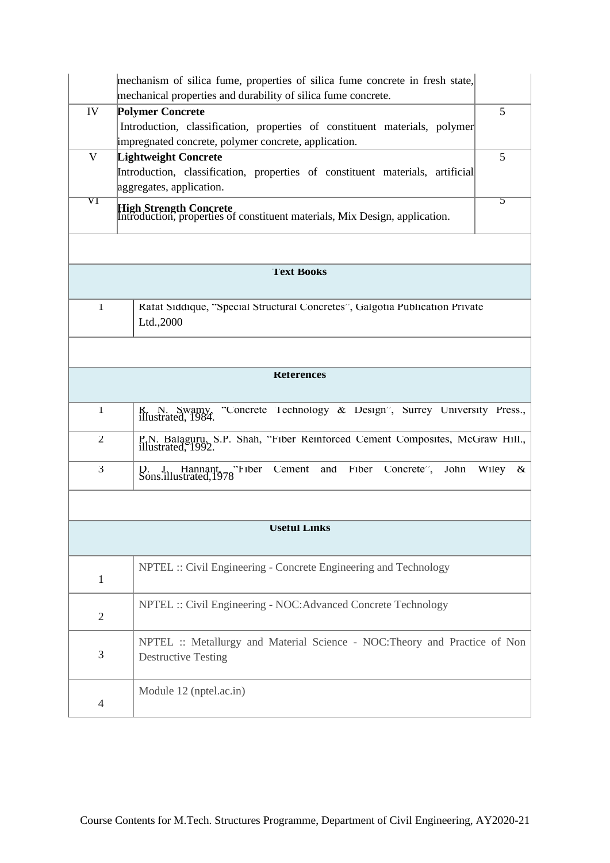|                          | mechanism of silica fume, properties of silica fume concrete in fresh state,<br>mechanical properties and durability of silica fume concrete. |               |  |  |  |  |  |  |
|--------------------------|-----------------------------------------------------------------------------------------------------------------------------------------------|---------------|--|--|--|--|--|--|
| IV                       | <b>Polymer Concrete</b>                                                                                                                       | 5             |  |  |  |  |  |  |
|                          | Introduction, classification, properties of constituent materials, polymer<br>impregnated concrete, polymer concrete, application.            |               |  |  |  |  |  |  |
| $\mathbf{V}$             | <b>Lightweight Concrete</b>                                                                                                                   | 5             |  |  |  |  |  |  |
|                          | Introduction, classification, properties of constituent materials, artificial                                                                 |               |  |  |  |  |  |  |
|                          | aggregates, application.                                                                                                                      |               |  |  |  |  |  |  |
| $\rm{V}\Gamma$           | High Strength Concrete<br>Introduction, properties of constituent materials, Mix Design, application.                                         | $\mathcal{D}$ |  |  |  |  |  |  |
|                          |                                                                                                                                               |               |  |  |  |  |  |  |
|                          | <b>Text Books</b>                                                                                                                             |               |  |  |  |  |  |  |
| $\mathbf{I}$             | Rafat Siddique, "Special Structural Concretes", Galgotia Publication Private                                                                  |               |  |  |  |  |  |  |
|                          | Ltd.,2000                                                                                                                                     |               |  |  |  |  |  |  |
|                          |                                                                                                                                               |               |  |  |  |  |  |  |
|                          | <b>Keferences</b>                                                                                                                             |               |  |  |  |  |  |  |
| 1                        | "Concrete Technology & Design", Surrey University Press.,<br>K. N. Swamy, illustrated, 1984.                                                  |               |  |  |  |  |  |  |
| $\mathbf{Z}$             | P.N. Balaguru, S.P. Shah, "Fiber Reinforced Cement Composites, McGraw Hill., illustrated, 1992.                                               |               |  |  |  |  |  |  |
| $\mathfrak{Z}$           | Cement<br>D. J. Hannant, "Fiber<br>Sons.illustrated, 1978<br>and<br>Fiber Concrete",<br>John                                                  | Wiley<br>κ    |  |  |  |  |  |  |
|                          |                                                                                                                                               |               |  |  |  |  |  |  |
|                          | <b>USEIUI LINKS</b>                                                                                                                           |               |  |  |  |  |  |  |
| $\mathbf{1}$             | NPTEL :: Civil Engineering - Concrete Engineering and Technology                                                                              |               |  |  |  |  |  |  |
| $\mathbf{2}$             | NPTEL :: Civil Engineering - NOC: Advanced Concrete Technology                                                                                |               |  |  |  |  |  |  |
| 3                        | NPTEL :: Metallurgy and Material Science - NOC: Theory and Practice of Non<br><b>Destructive Testing</b>                                      |               |  |  |  |  |  |  |
| $\overline{\mathcal{A}}$ | Module 12 (nptel.ac.in)                                                                                                                       |               |  |  |  |  |  |  |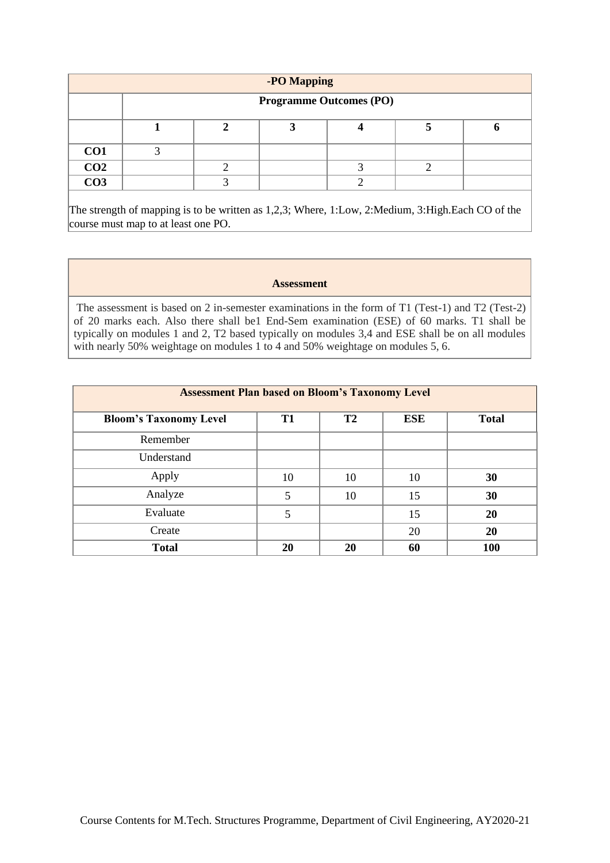|                 | -PO Mapping |  |                                |  |  |  |
|-----------------|-------------|--|--------------------------------|--|--|--|
|                 |             |  | <b>Programme Outcomes (PO)</b> |  |  |  |
|                 |             |  |                                |  |  |  |
| CO <sub>1</sub> |             |  |                                |  |  |  |
| CO <sub>2</sub> |             |  |                                |  |  |  |
| CO <sub>3</sub> |             |  |                                |  |  |  |

The strength of mapping is to be written as 1,2,3; Where, 1:Low, 2:Medium, 3:High.Each CO of the course must map to at least one PO.

### **Assessment**

The assessment is based on 2 in-semester examinations in the form of T1 (Test-1) and T2 (Test-2) of 20 marks each. Also there shall be1 End-Sem examination (ESE) of 60 marks. T1 shall be typically on modules 1 and 2, T2 based typically on modules 3,4 and ESE shall be on all modules with nearly 50% weightage on modules 1 to 4 and 50% weightage on modules 5, 6.

| <b>Assessment Plan based on Bloom's Taxonomy Level</b> |           |                |     |              |  |
|--------------------------------------------------------|-----------|----------------|-----|--------------|--|
| <b>Bloom's Taxonomy Level</b>                          | <b>T1</b> | T <sub>2</sub> | ESE | <b>Total</b> |  |
| Remember                                               |           |                |     |              |  |
| Understand                                             |           |                |     |              |  |
| Apply                                                  | 10        | 10             | 10  | 30           |  |
| Analyze                                                | 5         | 10             | 15  | 30           |  |
| Evaluate                                               | 5         |                | 15  | 20           |  |
| Create                                                 |           |                | 20  | 20           |  |
| <b>Total</b>                                           | 20        | 20             | 60  | 100          |  |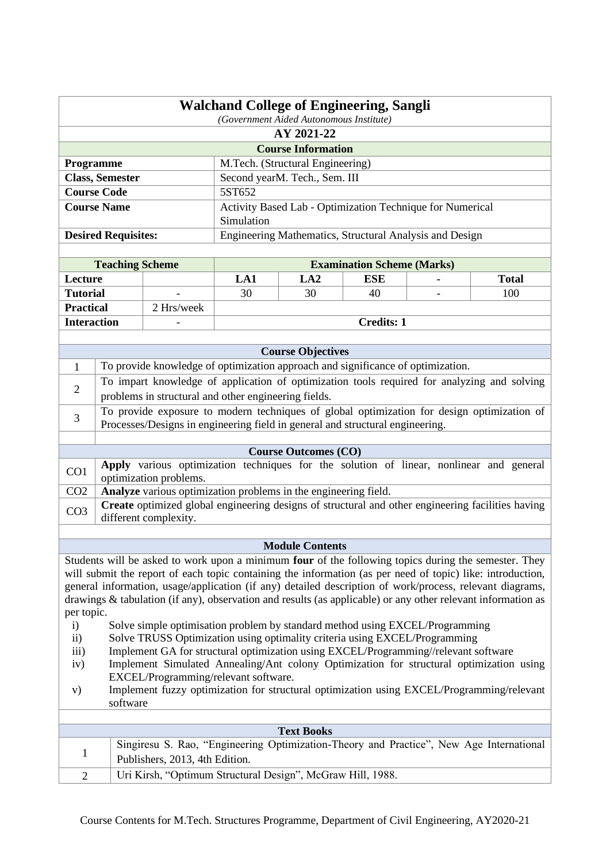|                                                                                       | <b>Walchand College of Engineering, Sangli</b>            |  |  |
|---------------------------------------------------------------------------------------|-----------------------------------------------------------|--|--|
|                                                                                       | (Government Aided Autonomous Institute)                   |  |  |
|                                                                                       | AY 2021-22                                                |  |  |
|                                                                                       | <b>Course Information</b>                                 |  |  |
| M.Tech. (Structural Engineering)<br><b>Programme</b>                                  |                                                           |  |  |
| <b>Class, Semester</b>                                                                | Second yearM. Tech., Sem. III                             |  |  |
| <b>Course Code</b>                                                                    | 5ST652                                                    |  |  |
| <b>Course Name</b>                                                                    | Activity Based Lab - Optimization Technique for Numerical |  |  |
|                                                                                       | Simulation                                                |  |  |
| <b>Desired Requisites:</b><br>Engineering Mathematics, Structural Analysis and Design |                                                           |  |  |

| <b>Teaching Scheme</b> |                          | <b>Examination Scheme (Marks)</b> |     |            |   |              |
|------------------------|--------------------------|-----------------------------------|-----|------------|---|--------------|
| Lecture                |                          | LA 1                              | LA2 | <b>ESE</b> | ۰ | <b>Total</b> |
| <b>Tutorial</b>        | $\overline{\phantom{0}}$ | 30                                | 30  | 40         | ۰ | 100          |
| <b>Practical</b>       | 2 Hrs/week               |                                   |     |            |   |              |
| <b>Interaction</b>     | -                        |                                   |     | Credits: 1 |   |              |

|                 | <b>Course Objectives</b>                                                                                                                                                                                                                                                                                                                                                                                                                                               |  |  |  |  |
|-----------------|------------------------------------------------------------------------------------------------------------------------------------------------------------------------------------------------------------------------------------------------------------------------------------------------------------------------------------------------------------------------------------------------------------------------------------------------------------------------|--|--|--|--|
|                 | To provide knowledge of optimization approach and significance of optimization.                                                                                                                                                                                                                                                                                                                                                                                        |  |  |  |  |
|                 | To impart knowledge of application of optimization tools required for analyzing and solving                                                                                                                                                                                                                                                                                                                                                                            |  |  |  |  |
| $\overline{2}$  | problems in structural and other engineering fields.                                                                                                                                                                                                                                                                                                                                                                                                                   |  |  |  |  |
| 3               | To provide exposure to modern techniques of global optimization for design optimization of                                                                                                                                                                                                                                                                                                                                                                             |  |  |  |  |
|                 | Processes/Designs in engineering field in general and structural engineering.                                                                                                                                                                                                                                                                                                                                                                                          |  |  |  |  |
|                 |                                                                                                                                                                                                                                                                                                                                                                                                                                                                        |  |  |  |  |
|                 | <b>Course Outcomes (CO)</b>                                                                                                                                                                                                                                                                                                                                                                                                                                            |  |  |  |  |
| CO <sub>1</sub> | various optimization techniques for the solution of linear, nonlinear and general<br><b>Apply</b>                                                                                                                                                                                                                                                                                                                                                                      |  |  |  |  |
|                 | optimization problems.                                                                                                                                                                                                                                                                                                                                                                                                                                                 |  |  |  |  |
| $\sim$ $\sim$   | $\mathbf{r} = \mathbf{r} \cdot \mathbf{r} = \mathbf{r} \cdot \mathbf{r} = \mathbf{r} \cdot \mathbf{r} = \mathbf{r} \cdot \mathbf{r} = \mathbf{r} \cdot \mathbf{r} = \mathbf{r} \cdot \mathbf{r} = \mathbf{r} \cdot \mathbf{r} = \mathbf{r} \cdot \mathbf{r} = \mathbf{r} \cdot \mathbf{r} = \mathbf{r} \cdot \mathbf{r} = \mathbf{r} \cdot \mathbf{r} = \mathbf{r} \cdot \mathbf{r} = \mathbf{r} \cdot \mathbf{r} = \mathbf{r} \cdot \mathbf{r} = \mathbf$<br>$C = 11$ |  |  |  |  |

## CO2 **Analyze** various optimization problems in the engineering field. CO<sub>3</sub> **Create** optimized global engineering designs of structural and other engineering facilities having different complexity.

## **Module Contents**

Students will be asked to work upon a minimum **four** of the following topics during the semester. They will submit the report of each topic containing the information (as per need of topic) like: introduction, general information, usage/application (if any) detailed description of work/process, relevant diagrams, drawings & tabulation (if any), observation and results (as applicable) or any other relevant information as per topic.

- i) Solve simple optimisation problem by standard method using EXCEL/Programming
- ii) Solve TRUSS Optimization using optimality criteria using EXCEL/Programming
- iii) Implement GA for structural optimization using EXCEL/Programming//relevant software
- iv) Implement Simulated Annealing/Ant colony Optimization for structural optimization using EXCEL/Programming/relevant software.
- v) Implement fuzzy optimization for structural optimization using EXCEL/Programming/relevant software

| <b>Text Books</b>                                                                                                         |
|---------------------------------------------------------------------------------------------------------------------------|
| Singiresu S. Rao, "Engineering Optimization-Theory and Practice", New Age International<br>Publishers, 2013, 4th Edition. |
| Uri Kirsh, "Optimum Structural Design", McGraw Hill, 1988.                                                                |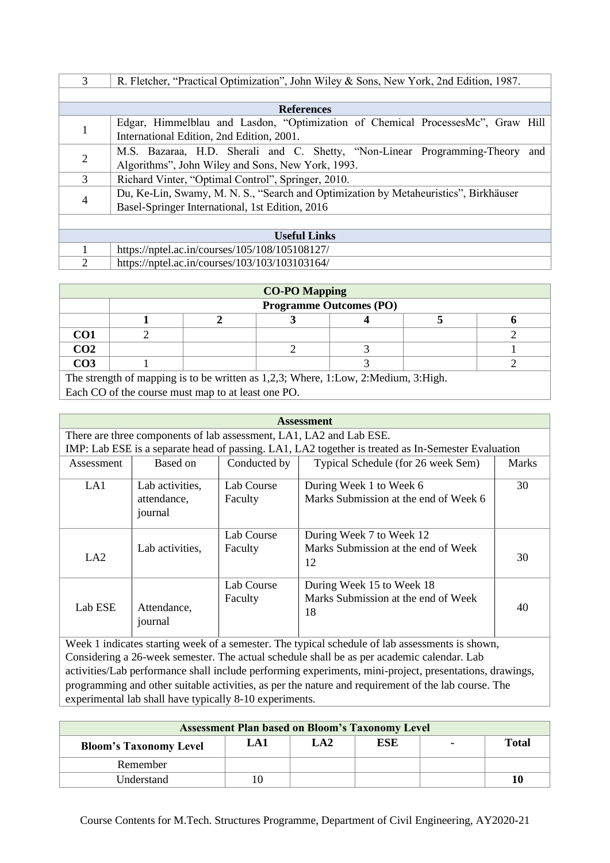| $\mathcal{F}$       | R. Fletcher, "Practical Optimization", John Wiley & Sons, New York, 2nd Edition, 1987. |  |  |  |  |  |  |  |  |
|---------------------|----------------------------------------------------------------------------------------|--|--|--|--|--|--|--|--|
|                     |                                                                                        |  |  |  |  |  |  |  |  |
|                     | <b>References</b>                                                                      |  |  |  |  |  |  |  |  |
|                     | Edgar, Himmelblau and Lasdon, "Optimization of Chemical ProcessesMc", Graw Hill        |  |  |  |  |  |  |  |  |
|                     | International Edition, 2nd Edition, 2001.                                              |  |  |  |  |  |  |  |  |
|                     | M.S. Bazaraa, H.D. Sherali and C. Shetty, "Non-Linear Programming-Theory<br>and        |  |  |  |  |  |  |  |  |
| 2                   | Algorithms", John Wiley and Sons, New York, 1993.                                      |  |  |  |  |  |  |  |  |
| 3                   | Richard Vinter, "Optimal Control", Springer, 2010.                                     |  |  |  |  |  |  |  |  |
|                     | Du, Ke-Lin, Swamy, M. N. S., "Search and Optimization by Metaheuristics", Birkhäuser   |  |  |  |  |  |  |  |  |
|                     | Basel-Springer International, 1st Edition, 2016                                        |  |  |  |  |  |  |  |  |
|                     |                                                                                        |  |  |  |  |  |  |  |  |
| <b>Useful Links</b> |                                                                                        |  |  |  |  |  |  |  |  |
|                     | https://nptel.ac.in/courses/105/108/105108127/                                         |  |  |  |  |  |  |  |  |
| 2                   | https://nptel.ac.in/courses/103/103/103103164/                                         |  |  |  |  |  |  |  |  |

| <b>CO-PO Mapping</b> |                                                                                    |  |  |  |  |  |  |  |  |
|----------------------|------------------------------------------------------------------------------------|--|--|--|--|--|--|--|--|
|                      | <b>Programme Outcomes (PO)</b>                                                     |  |  |  |  |  |  |  |  |
|                      |                                                                                    |  |  |  |  |  |  |  |  |
| CO1                  |                                                                                    |  |  |  |  |  |  |  |  |
| CO <sub>2</sub>      |                                                                                    |  |  |  |  |  |  |  |  |
| CO <sub>3</sub>      |                                                                                    |  |  |  |  |  |  |  |  |
|                      | The strength of mapping is to be written as 1,2,3; Where, 1:Low, 2:Medium, 3:High. |  |  |  |  |  |  |  |  |

Each CO of the course must map to at least one PO.

| <b>Assessment</b> |                                                                     |              |                                                                                                    |              |  |  |  |  |  |
|-------------------|---------------------------------------------------------------------|--------------|----------------------------------------------------------------------------------------------------|--------------|--|--|--|--|--|
|                   | There are three components of lab assessment, LA1, LA2 and Lab ESE. |              |                                                                                                    |              |  |  |  |  |  |
|                   |                                                                     |              | IMP: Lab ESE is a separate head of passing. LA1, LA2 together is treated as In-Semester Evaluation |              |  |  |  |  |  |
| Assessment        | Based on                                                            | Conducted by | Typical Schedule (for 26 week Sem)                                                                 | <b>Marks</b> |  |  |  |  |  |
| LA1               | Lab activities,                                                     | Lab Course   | During Week 1 to Week 6                                                                            | 30           |  |  |  |  |  |
|                   | attendance,<br>journal                                              | Faculty      | Marks Submission at the end of Week 6                                                              |              |  |  |  |  |  |
|                   |                                                                     | Lab Course   | During Week 7 to Week 12                                                                           |              |  |  |  |  |  |
| LA2               | Lab activities,                                                     | Faculty      | Marks Submission at the end of Week<br>12                                                          | 30           |  |  |  |  |  |
|                   |                                                                     | Lab Course   | During Week 15 to Week 18                                                                          |              |  |  |  |  |  |
| Lab ESE           | Attendance,<br>journal                                              | Faculty      | Marks Submission at the end of Week<br>18                                                          | 40           |  |  |  |  |  |
|                   |                                                                     |              | Week 1 indicates starting week of a semester. The typical schedule of lab assessments is shown,    |              |  |  |  |  |  |

Considering a 26-week semester. The actual schedule shall be as per academic calendar. Lab activities/Lab performance shall include performing experiments, mini-project, presentations, drawings, programming and other suitable activities, as per the nature and requirement of the lab course. The experimental lab shall have typically 8-10 experiments.

| <b>Assessment Plan based on Bloom's Taxonomy Level</b>                  |    |  |  |  |    |  |  |
|-------------------------------------------------------------------------|----|--|--|--|----|--|--|
| ESE<br>Total<br>$L\bf{A2}$<br>LA1<br>۰<br><b>Bloom's Taxonomy Level</b> |    |  |  |  |    |  |  |
| Remember                                                                |    |  |  |  |    |  |  |
| Understand                                                              | ιΟ |  |  |  | 10 |  |  |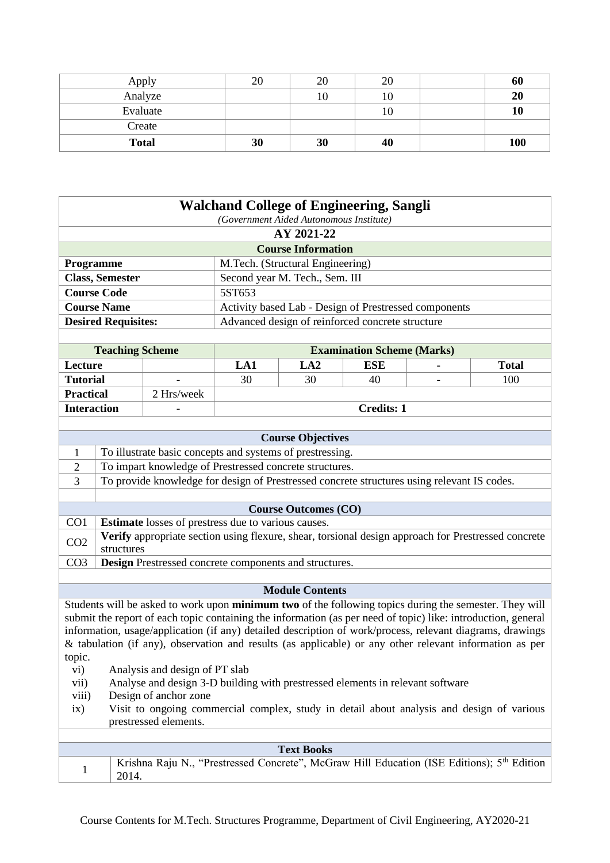| Apply        | 20 | 20 | 20 | 60  |
|--------------|----|----|----|-----|
| Analyze      |    | 10 | 10 | 20  |
| Evaluate     |    |    | 10 | 10  |
| Create       |    |    |    |     |
| <b>Total</b> | 30 | 30 | 40 | 100 |

|                            | <b>Walchand College of Engineering, Sangli</b>        |  |  |  |  |  |
|----------------------------|-------------------------------------------------------|--|--|--|--|--|
|                            | (Government Aided Autonomous Institute)               |  |  |  |  |  |
|                            | AY 2021-22                                            |  |  |  |  |  |
|                            | <b>Course Information</b>                             |  |  |  |  |  |
| <b>Programme</b>           | M.Tech. (Structural Engineering)                      |  |  |  |  |  |
| <b>Class, Semester</b>     | Second year M. Tech., Sem. III                        |  |  |  |  |  |
| <b>Course Code</b>         | 5ST653                                                |  |  |  |  |  |
| <b>Course Name</b>         | Activity based Lab - Design of Prestressed components |  |  |  |  |  |
| <b>Desired Requisites:</b> | Advanced design of reinforced concrete structure      |  |  |  |  |  |

| <b>Teaching Scheme</b> |            |                   |     | <b>Examination Scheme (Marks)</b> |                          |              |
|------------------------|------------|-------------------|-----|-----------------------------------|--------------------------|--------------|
| Lecture                |            | LA1               | LA2 | ESE                               | $\sim$                   | <b>Total</b> |
| <b>Tutorial</b>        | -          | 30                | 30  | 40                                | $\overline{\phantom{0}}$ | 100          |
| <b>Practical</b>       | 2 Hrs/week |                   |     |                                   |                          |              |
| <b>Interaction</b>     |            | <b>Credits: 1</b> |     |                                   |                          |              |

|                 | <b>Course Objectives</b>                                                                            |  |  |  |  |  |
|-----------------|-----------------------------------------------------------------------------------------------------|--|--|--|--|--|
| 1               | To illustrate basic concepts and systems of prestressing.                                           |  |  |  |  |  |
| 2               | To impart knowledge of Prestressed concrete structures.                                             |  |  |  |  |  |
| 3               | To provide knowledge for design of Prestressed concrete structures using relevant IS codes.         |  |  |  |  |  |
|                 |                                                                                                     |  |  |  |  |  |
|                 | <b>Course Outcomes (CO)</b>                                                                         |  |  |  |  |  |
| CO <sub>1</sub> | <b>Estimate</b> losses of prestress due to various causes.                                          |  |  |  |  |  |
| CO <sub>2</sub> | Verify appropriate section using flexure, shear, torsional design approach for Prestressed concrete |  |  |  |  |  |
|                 | structures                                                                                          |  |  |  |  |  |
| CO <sub>3</sub> | <b>Design</b> Prestressed concrete components and structures.                                       |  |  |  |  |  |

#### **Module Contents**

Students will be asked to work upon **minimum two** of the following topics during the semester. They will submit the report of each topic containing the information (as per need of topic) like: introduction, general information, usage/application (if any) detailed description of work/process, relevant diagrams, drawings & tabulation (if any), observation and results (as applicable) or any other relevant information as per topic.

vi) Analysis and design of PT slab

- vii) Analyse and design 3-D building with prestressed elements in relevant software
- viii) Design of anchor zone
- ix) Visit to ongoing commercial complex, study in detail about analysis and design of various prestressed elements.

| <b>Text Books</b>                                                                                               |
|-----------------------------------------------------------------------------------------------------------------|
| Krishna Raju N., "Prestressed Concrete", McGraw Hill Education (ISE Editions); 5 <sup>th</sup> Edition<br>2014. |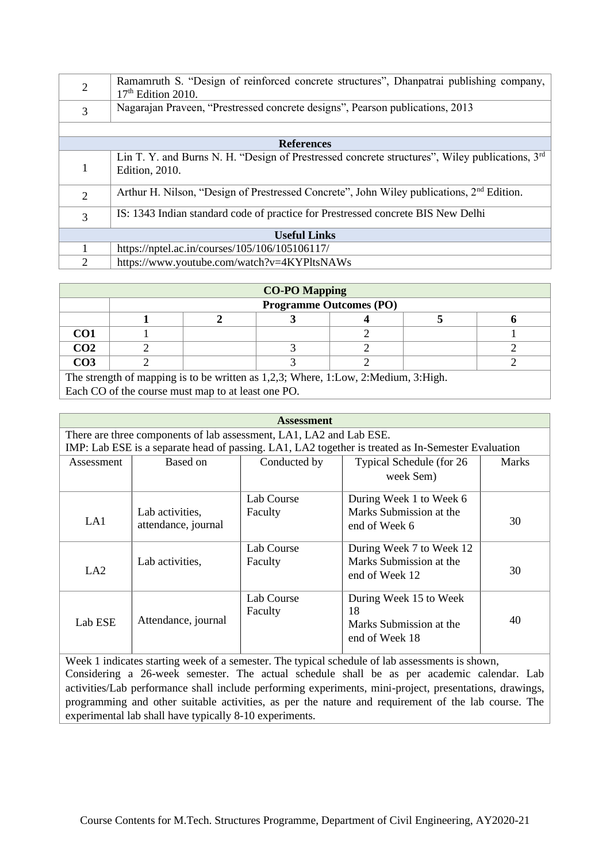| $\overline{2}$ | Ramamruth S. "Design of reinforced concrete structures", Dhanpatrai publishing company,<br>$17th$ Edition 2010.                      |
|----------------|--------------------------------------------------------------------------------------------------------------------------------------|
| 3              | Nagarajan Praveen, "Prestressed concrete designs", Pearson publications, 2013                                                        |
|                |                                                                                                                                      |
|                | <b>References</b>                                                                                                                    |
|                | Lin T. Y. and Burns N. H. "Design of Prestressed concrete structures", Wiley publications, 3 <sup>rd</sup><br><b>Edition</b> , 2010. |
| 2              | Arthur H. Nilson, "Design of Prestressed Concrete", John Wiley publications, $2nd$ Edition.                                          |
| 3              | IS: 1343 Indian standard code of practice for Prestressed concrete BIS New Delhi                                                     |
|                | <b>Useful Links</b>                                                                                                                  |
|                | https://nptel.ac.in/courses/105/106/105106117/                                                                                       |
| 2              | https://www.youtube.com/watch?v=4KYPltsNAWs                                                                                          |

| <b>CO-PO Mapping</b> |                                |                                                                                    |  |  |  |  |  |  |  |
|----------------------|--------------------------------|------------------------------------------------------------------------------------|--|--|--|--|--|--|--|
|                      | <b>Programme Outcomes (PO)</b> |                                                                                    |  |  |  |  |  |  |  |
|                      |                                |                                                                                    |  |  |  |  |  |  |  |
| CO <sub>1</sub>      |                                |                                                                                    |  |  |  |  |  |  |  |
| CO <sub>2</sub>      |                                |                                                                                    |  |  |  |  |  |  |  |
| CO <sub>3</sub>      |                                |                                                                                    |  |  |  |  |  |  |  |
|                      |                                | The strength of mapping is to be written as 1,2,3; Where, 1:Low, 2:Medium, 3:High. |  |  |  |  |  |  |  |

Each CO of the course must map to at least one PO.

| <b>Assessment</b>                                                   |                     |              |                                                                                                    |              |  |  |  |  |
|---------------------------------------------------------------------|---------------------|--------------|----------------------------------------------------------------------------------------------------|--------------|--|--|--|--|
| There are three components of lab assessment, LA1, LA2 and Lab ESE. |                     |              |                                                                                                    |              |  |  |  |  |
|                                                                     |                     |              | IMP: Lab ESE is a separate head of passing. LA1, LA2 together is treated as In-Semester Evaluation |              |  |  |  |  |
| Assessment                                                          | Based on            | Conducted by | Typical Schedule (for 26                                                                           | <b>Marks</b> |  |  |  |  |
|                                                                     |                     |              | week Sem)                                                                                          |              |  |  |  |  |
|                                                                     |                     | Lab Course   | During Week 1 to Week 6                                                                            |              |  |  |  |  |
|                                                                     | Lab activities,     | Faculty      | Marks Submission at the                                                                            |              |  |  |  |  |
| LA1                                                                 | attendance, journal |              | end of Week 6                                                                                      | 30           |  |  |  |  |
|                                                                     |                     | Lab Course   | During Week 7 to Week 12                                                                           |              |  |  |  |  |
|                                                                     | Lab activities,     | Faculty      | Marks Submission at the                                                                            |              |  |  |  |  |
| LA2                                                                 |                     |              | end of Week 12                                                                                     | 30           |  |  |  |  |
|                                                                     |                     | Lab Course   | During Week 15 to Week                                                                             |              |  |  |  |  |
|                                                                     |                     | Faculty      | 18                                                                                                 |              |  |  |  |  |
| Lab ESE                                                             | Attendance, journal |              | Marks Submission at the                                                                            | 40           |  |  |  |  |
|                                                                     |                     |              | end of Week 18                                                                                     |              |  |  |  |  |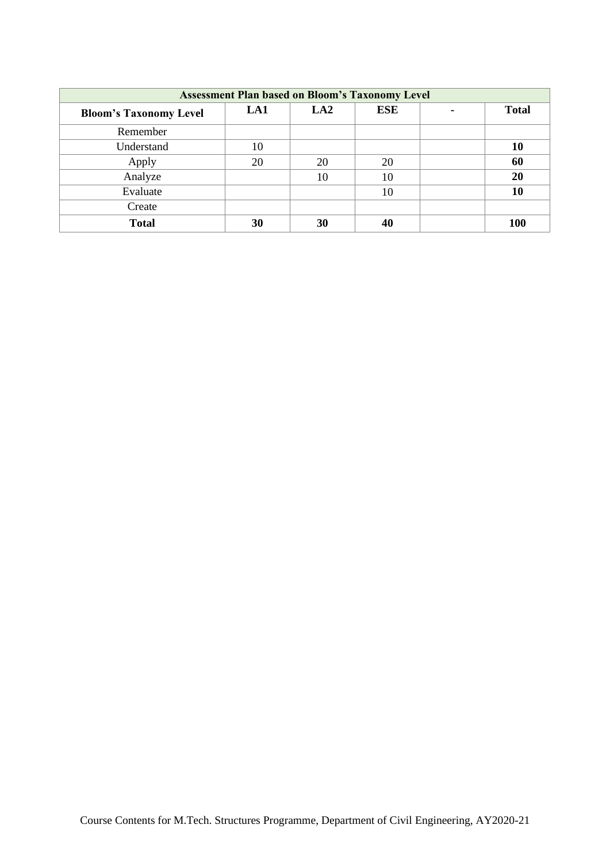| <b>Assessment Plan based on Bloom's Taxonomy Level</b> |     |     |            |  |              |  |  |
|--------------------------------------------------------|-----|-----|------------|--|--------------|--|--|
| <b>Bloom's Taxonomy Level</b>                          | LA1 | LA2 | <b>ESE</b> |  | <b>Total</b> |  |  |
| Remember                                               |     |     |            |  |              |  |  |
| Understand                                             | 10  |     |            |  | 10           |  |  |
| Apply                                                  | 20  | 20  | 20         |  | 60           |  |  |
| Analyze                                                |     | 10  | 10         |  | 20           |  |  |
| Evaluate                                               |     |     | 10         |  | 10           |  |  |
| Create                                                 |     |     |            |  |              |  |  |
| <b>Total</b>                                           | 30  | 30  | 40         |  | 100          |  |  |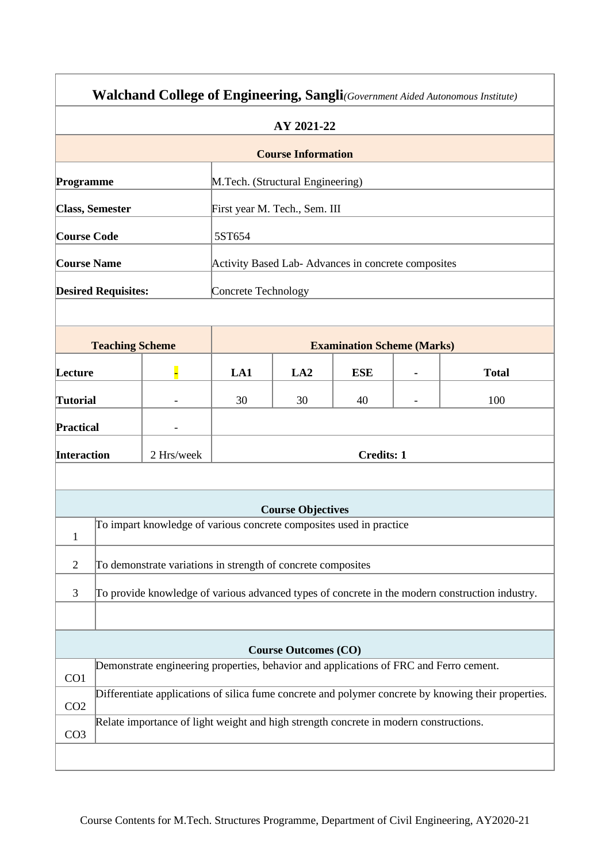| Walchand College of Engineering, Sangli(Government Aided Autonomous Institute) |                            |                                                                                        |                     |                                                    |                                   |  |                                                                                                      |  |
|--------------------------------------------------------------------------------|----------------------------|----------------------------------------------------------------------------------------|---------------------|----------------------------------------------------|-----------------------------------|--|------------------------------------------------------------------------------------------------------|--|
|                                                                                | AY 2021-22                 |                                                                                        |                     |                                                    |                                   |  |                                                                                                      |  |
|                                                                                |                            |                                                                                        |                     | <b>Course Information</b>                          |                                   |  |                                                                                                      |  |
| Programme                                                                      |                            |                                                                                        |                     | M.Tech. (Structural Engineering)                   |                                   |  |                                                                                                      |  |
|                                                                                | <b>Class, Semester</b>     |                                                                                        |                     | First year M. Tech., Sem. III                      |                                   |  |                                                                                                      |  |
| <b>Course Code</b>                                                             |                            |                                                                                        | 5ST654              |                                                    |                                   |  |                                                                                                      |  |
| <b>Course Name</b>                                                             |                            |                                                                                        |                     | Activity Based Lab-Advances in concrete composites |                                   |  |                                                                                                      |  |
|                                                                                | <b>Desired Requisites:</b> |                                                                                        | Concrete Technology |                                                    |                                   |  |                                                                                                      |  |
|                                                                                |                            |                                                                                        |                     |                                                    |                                   |  |                                                                                                      |  |
|                                                                                | <b>Teaching Scheme</b>     |                                                                                        |                     |                                                    | <b>Examination Scheme (Marks)</b> |  |                                                                                                      |  |
| Lecture                                                                        |                            |                                                                                        | LA1                 | LA <sub>2</sub>                                    | <b>ESE</b>                        |  | <b>Total</b>                                                                                         |  |
| <b>Tutorial</b>                                                                |                            |                                                                                        | 30                  | 30                                                 | 40                                |  | 100                                                                                                  |  |
| Practical                                                                      |                            |                                                                                        |                     |                                                    |                                   |  |                                                                                                      |  |
| <b>Interaction</b>                                                             |                            | 2 Hrs/week                                                                             |                     |                                                    | <b>Credits: 1</b>                 |  |                                                                                                      |  |
|                                                                                |                            |                                                                                        |                     |                                                    |                                   |  |                                                                                                      |  |
|                                                                                |                            |                                                                                        |                     | <b>Course Objectives</b>                           |                                   |  |                                                                                                      |  |
| $\mathbf{1}$                                                                   |                            | To impart knowledge of various concrete composites used in practice                    |                     |                                                    |                                   |  |                                                                                                      |  |
| $\overline{2}$                                                                 |                            | To demonstrate variations in strength of concrete composites                           |                     |                                                    |                                   |  |                                                                                                      |  |
| 3                                                                              |                            |                                                                                        |                     |                                                    |                                   |  | To provide knowledge of various advanced types of concrete in the modern construction industry.      |  |
|                                                                                |                            |                                                                                        |                     |                                                    |                                   |  |                                                                                                      |  |
|                                                                                |                            |                                                                                        |                     | <b>Course Outcomes (CO)</b>                        |                                   |  |                                                                                                      |  |
| CO1                                                                            |                            | Demonstrate engineering properties, behavior and applications of FRC and Ferro cement. |                     |                                                    |                                   |  |                                                                                                      |  |
| CO <sub>2</sub>                                                                |                            |                                                                                        |                     |                                                    |                                   |  | Differentiate applications of silica fume concrete and polymer concrete by knowing their properties. |  |
| CO <sub>3</sub>                                                                |                            | Relate importance of light weight and high strength concrete in modern constructions.  |                     |                                                    |                                   |  |                                                                                                      |  |
|                                                                                |                            |                                                                                        |                     |                                                    |                                   |  |                                                                                                      |  |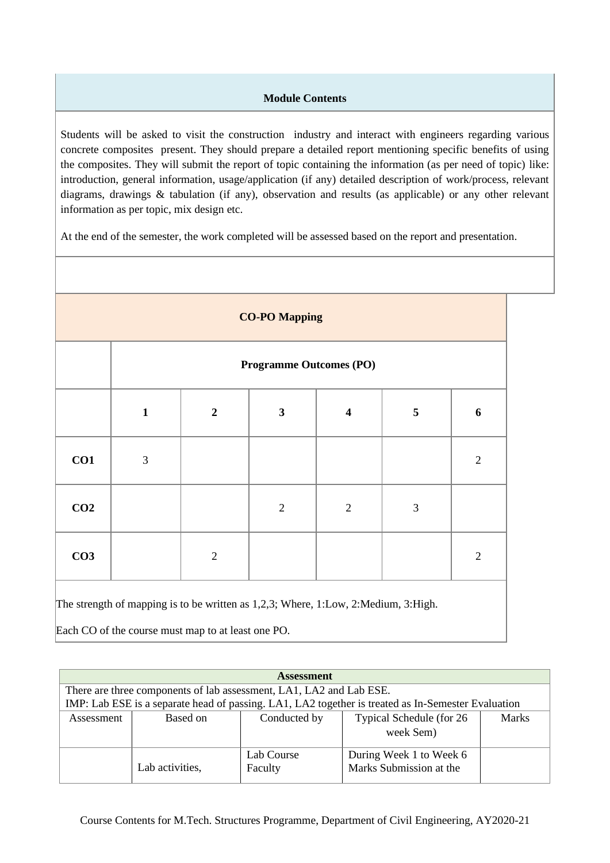# **Module Contents**

Students will be asked to visit the construction industry and interact with engineers regarding various concrete composites present. They should prepare a detailed report mentioning specific benefits of using the composites. They will submit the report of topic containing the information (as per need of topic) like: introduction, general information, usage/application (if any) detailed description of work/process, relevant diagrams, drawings & tabulation (if any), observation and results (as applicable) or any other relevant information as per topic, mix design etc.

At the end of the semester, the work completed will be assessed based on the report and presentation.

| <b>CO-PO Mapping</b> |                                |                |              |                         |                         |                |  |  |
|----------------------|--------------------------------|----------------|--------------|-------------------------|-------------------------|----------------|--|--|
|                      | <b>Programme Outcomes (PO)</b> |                |              |                         |                         |                |  |  |
|                      | $\mathbf{1}$                   | $\overline{2}$ | $\mathbf{3}$ | $\overline{\mathbf{4}}$ | $\overline{\mathbf{5}}$ | 6              |  |  |
| CO1                  | 3                              |                |              |                         |                         | $\sqrt{2}$     |  |  |
| CO <sub>2</sub>      |                                |                | $\sqrt{2}$   | $\overline{2}$          | $\mathfrak{Z}$          |                |  |  |
| CO <sub>3</sub>      |                                | $\overline{2}$ |              |                         |                         | $\mathfrak{2}$ |  |  |

|            | <b>Assessment</b>                                                   |            |                                                                                                    |  |  |  |  |  |
|------------|---------------------------------------------------------------------|------------|----------------------------------------------------------------------------------------------------|--|--|--|--|--|
|            | There are three components of lab assessment, LA1, LA2 and Lab ESE. |            |                                                                                                    |  |  |  |  |  |
|            |                                                                     |            | IMP: Lab ESE is a separate head of passing. LA1, LA2 together is treated as In-Semester Evaluation |  |  |  |  |  |
| Assessment | Typical Schedule (for 26<br>Conducted by<br>Based on                |            |                                                                                                    |  |  |  |  |  |
|            |                                                                     |            | week Sem)                                                                                          |  |  |  |  |  |
|            |                                                                     | Lab Course | During Week 1 to Week 6                                                                            |  |  |  |  |  |
|            | Lab activities,                                                     | Faculty    | Marks Submission at the                                                                            |  |  |  |  |  |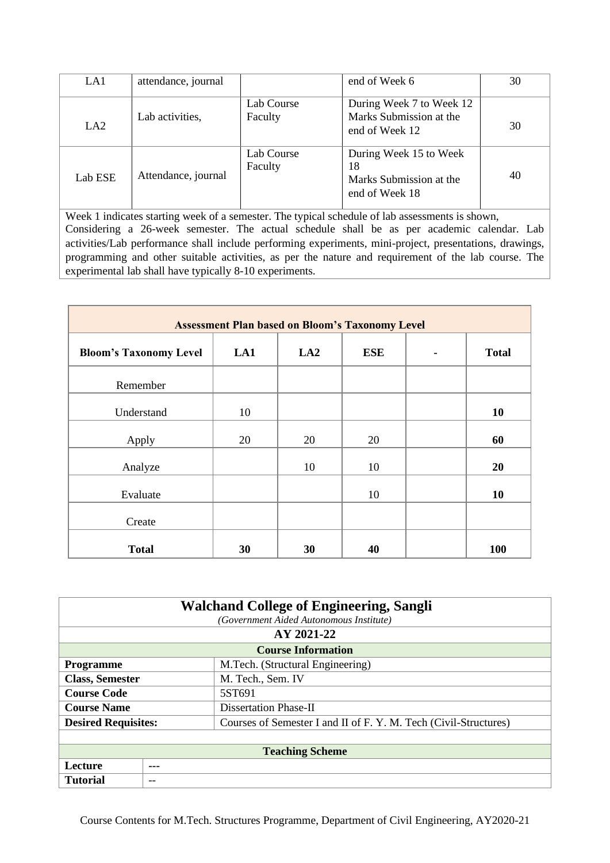| LA1     | attendance, journal |                       | end of Week 6                                                             | 30 |
|---------|---------------------|-----------------------|---------------------------------------------------------------------------|----|
| LA2     | Lab activities,     | Lab Course<br>Faculty | During Week 7 to Week 12<br>Marks Submission at the<br>end of Week 12     | 30 |
| Lab ESE | Attendance, journal | Lab Course<br>Faculty | During Week 15 to Week<br>18<br>Marks Submission at the<br>end of Week 18 | 40 |

| <b>Assessment Plan based on Bloom's Taxonomy Level</b> |     |     |            |  |              |  |  |
|--------------------------------------------------------|-----|-----|------------|--|--------------|--|--|
| <b>Bloom's Taxonomy Level</b>                          | LA1 | LA2 | <b>ESE</b> |  | <b>Total</b> |  |  |
| Remember                                               |     |     |            |  |              |  |  |
| Understand                                             | 10  |     |            |  | 10           |  |  |
| Apply                                                  | 20  | 20  | 20         |  | 60           |  |  |
| Analyze                                                |     | 10  | 10         |  | 20           |  |  |
| Evaluate                                               |     |     | 10         |  | 10           |  |  |
| Create                                                 |     |     |            |  |              |  |  |
| <b>Total</b>                                           | 30  | 30  | 40         |  | 100          |  |  |

| <b>Walchand College of Engineering, Sangli</b> |                                         |                                                                  |  |  |  |  |  |
|------------------------------------------------|-----------------------------------------|------------------------------------------------------------------|--|--|--|--|--|
|                                                | (Government Aided Autonomous Institute) |                                                                  |  |  |  |  |  |
|                                                | AY 2021-22                              |                                                                  |  |  |  |  |  |
| <b>Course Information</b>                      |                                         |                                                                  |  |  |  |  |  |
| <b>Programme</b>                               |                                         | M.Tech. (Structural Engineering)                                 |  |  |  |  |  |
| <b>Class, Semester</b>                         |                                         | M. Tech., Sem. IV                                                |  |  |  |  |  |
| <b>Course Code</b>                             |                                         | 5ST691                                                           |  |  |  |  |  |
| <b>Course Name</b>                             |                                         | Dissertation Phase-II                                            |  |  |  |  |  |
| <b>Desired Requisites:</b>                     |                                         | Courses of Semester I and II of F. Y. M. Tech (Civil-Structures) |  |  |  |  |  |
|                                                |                                         |                                                                  |  |  |  |  |  |
|                                                | <b>Teaching Scheme</b>                  |                                                                  |  |  |  |  |  |
| Lecture                                        | ---                                     |                                                                  |  |  |  |  |  |
| <b>Tutorial</b>                                | --                                      |                                                                  |  |  |  |  |  |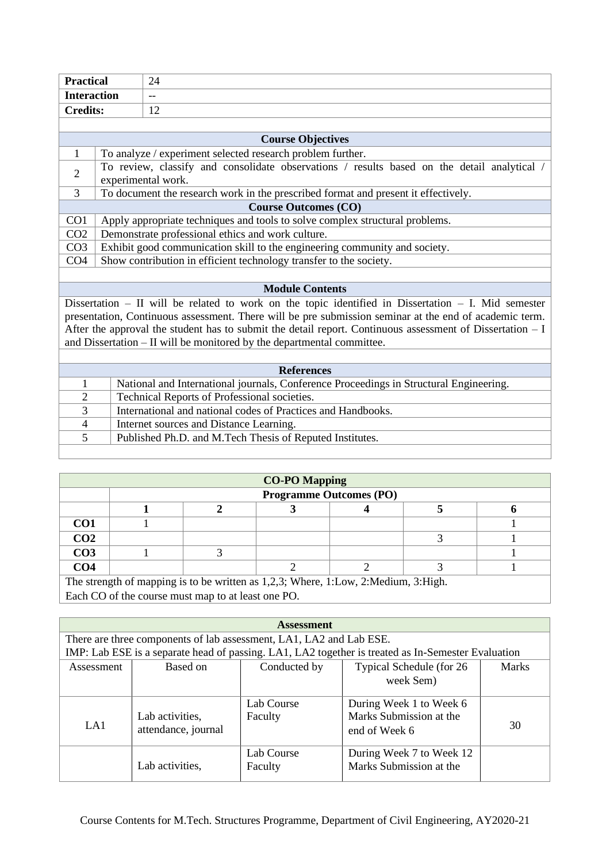| <b>Practical</b>   |                                                                            | 24                                                                                                        |  |  |
|--------------------|----------------------------------------------------------------------------|-----------------------------------------------------------------------------------------------------------|--|--|
| <b>Interaction</b> |                                                                            | $-$                                                                                                       |  |  |
| <b>Credits:</b>    | 12                                                                         |                                                                                                           |  |  |
|                    |                                                                            |                                                                                                           |  |  |
|                    |                                                                            | <b>Course Objectives</b>                                                                                  |  |  |
| $\mathbf{1}$       |                                                                            | To analyze / experiment selected research problem further.                                                |  |  |
| $\overline{2}$     |                                                                            | To review, classify and consolidate observations / results based on the detail analytical /               |  |  |
|                    |                                                                            | experimental work.                                                                                        |  |  |
| 3                  |                                                                            | To document the research work in the prescribed format and present it effectively.                        |  |  |
|                    |                                                                            | <b>Course Outcomes (CO)</b>                                                                               |  |  |
| CO1                |                                                                            | Apply appropriate techniques and tools to solve complex structural problems.                              |  |  |
| CO <sub>2</sub>    | Demonstrate professional ethics and work culture.                          |                                                                                                           |  |  |
| CO <sub>3</sub>    | Exhibit good communication skill to the engineering community and society. |                                                                                                           |  |  |
| CO <sub>4</sub>    |                                                                            | Show contribution in efficient technology transfer to the society.                                        |  |  |
|                    |                                                                            |                                                                                                           |  |  |
|                    |                                                                            | <b>Module Contents</b>                                                                                    |  |  |
|                    |                                                                            | Dissertation $-$ II will be related to work on the topic identified in Dissertation $-$ I. Mid semester   |  |  |
|                    |                                                                            | presentation, Continuous assessment. There will be pre submission seminar at the end of academic term.    |  |  |
|                    |                                                                            | After the approval the student has to submit the detail report. Continuous assessment of Dissertation - I |  |  |
|                    |                                                                            | and Dissertation - II will be monitored by the departmental committee.                                    |  |  |
|                    |                                                                            |                                                                                                           |  |  |
|                    |                                                                            | <b>References</b>                                                                                         |  |  |
| $\mathbf{1}$       |                                                                            | National and International journals, Conference Proceedings in Structural Engineering.                    |  |  |
| $\overline{2}$     |                                                                            | Technical Reports of Professional societies.                                                              |  |  |
| $\overline{3}$     |                                                                            | International and national codes of Practices and Handbooks.                                              |  |  |
| $\overline{4}$     |                                                                            | Internet sources and Distance Learning.                                                                   |  |  |
| 5                  |                                                                            | Published Ph.D. and M.Tech Thesis of Reputed Institutes.                                                  |  |  |
|                    |                                                                            |                                                                                                           |  |  |

| <b>CO-PO Mapping</b> |                                                                                    |  |  |  |  |  |  |  |  |  |
|----------------------|------------------------------------------------------------------------------------|--|--|--|--|--|--|--|--|--|
|                      | <b>Programme Outcomes (PO)</b>                                                     |  |  |  |  |  |  |  |  |  |
|                      |                                                                                    |  |  |  |  |  |  |  |  |  |
| CO <sub>1</sub>      |                                                                                    |  |  |  |  |  |  |  |  |  |
| CO <sub>2</sub>      |                                                                                    |  |  |  |  |  |  |  |  |  |
| CO <sub>3</sub>      |                                                                                    |  |  |  |  |  |  |  |  |  |
| CO <sub>4</sub>      |                                                                                    |  |  |  |  |  |  |  |  |  |
|                      | The strength of mapping is to be written as 1,2,3; Where, 1:Low, 2:Medium, 3:High. |  |  |  |  |  |  |  |  |  |

Each CO of the course must map to at least one PO.

| <b>Assessment</b> |                                                                     |              |                                                                                                    |       |  |  |  |
|-------------------|---------------------------------------------------------------------|--------------|----------------------------------------------------------------------------------------------------|-------|--|--|--|
|                   | There are three components of lab assessment, LA1, LA2 and Lab ESE. |              |                                                                                                    |       |  |  |  |
|                   |                                                                     |              | IMP: Lab ESE is a separate head of passing. LA1, LA2 together is treated as In-Semester Evaluation |       |  |  |  |
| Assessment        | Based on                                                            | Conducted by | Typical Schedule (for 26                                                                           | Marks |  |  |  |
|                   |                                                                     |              | week Sem)                                                                                          |       |  |  |  |
|                   |                                                                     | Lab Course   | During Week 1 to Week 6                                                                            |       |  |  |  |
|                   | Lab activities,                                                     | Faculty      | Marks Submission at the                                                                            |       |  |  |  |
| LA1               | attendance, journal                                                 |              | end of Week 6                                                                                      | 30    |  |  |  |
|                   |                                                                     | Lab Course   | During Week 7 to Week 12                                                                           |       |  |  |  |
|                   | Lab activities,                                                     | Faculty      | Marks Submission at the                                                                            |       |  |  |  |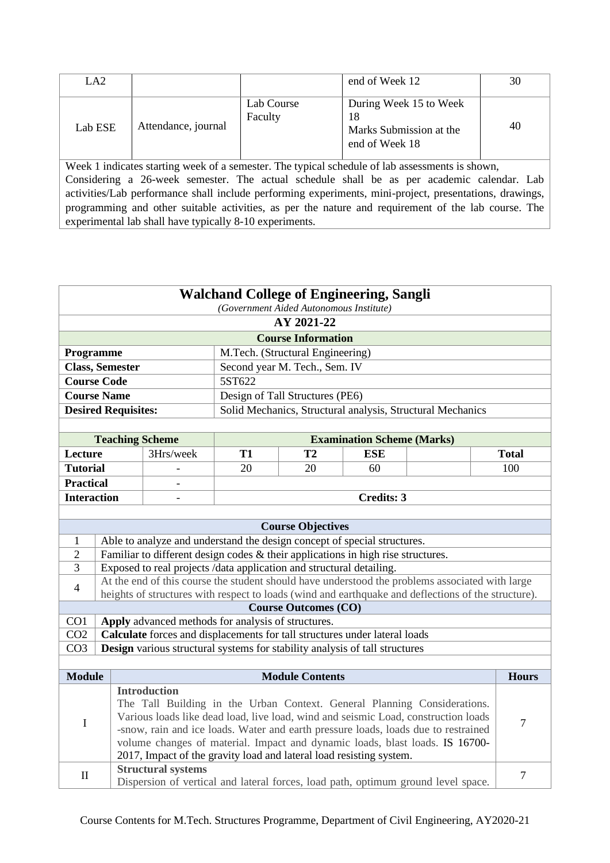| LA <sub>2</sub>                                                                                 |                     |                       | end of Week 12                                                            | 30 |  |  |
|-------------------------------------------------------------------------------------------------|---------------------|-----------------------|---------------------------------------------------------------------------|----|--|--|
| Lab ESE                                                                                         | Attendance, journal | Lab Course<br>Faculty | During Week 15 to Week<br>18<br>Marks Submission at the<br>end of Week 18 | 40 |  |  |
| Week 1 indicates starting week of a semester. The typical schedule of lab assessments is shown, |                     |                       |                                                                           |    |  |  |

Considering a 26-week semester. The actual schedule shall be as per academic calendar. Lab activities/Lab performance shall include performing experiments, mini-project, presentations, drawings, programming and other suitable activities, as per the nature and requirement of the lab course. The experimental lab shall have typically 8-10 experiments.

| <b>Walchand College of Engineering, Sangli</b><br>(Government Aided Autonomous Institute) |                            |                                                                              |           |                                  |                                                                                                     |  |                |
|-------------------------------------------------------------------------------------------|----------------------------|------------------------------------------------------------------------------|-----------|----------------------------------|-----------------------------------------------------------------------------------------------------|--|----------------|
| AY 2021-22                                                                                |                            |                                                                              |           |                                  |                                                                                                     |  |                |
|                                                                                           |                            |                                                                              |           | <b>Course Information</b>        |                                                                                                     |  |                |
| Programme                                                                                 |                            |                                                                              |           | M.Tech. (Structural Engineering) |                                                                                                     |  |                |
|                                                                                           | <b>Class, Semester</b>     |                                                                              |           | Second year M. Tech., Sem. IV    |                                                                                                     |  |                |
|                                                                                           | <b>Course Code</b>         |                                                                              | 5ST622    |                                  |                                                                                                     |  |                |
|                                                                                           | <b>Course Name</b>         |                                                                              |           | Design of Tall Structures (PE6)  |                                                                                                     |  |                |
|                                                                                           | <b>Desired Requisites:</b> |                                                                              |           |                                  | Solid Mechanics, Structural analysis, Structural Mechanics                                          |  |                |
|                                                                                           |                            |                                                                              |           |                                  |                                                                                                     |  |                |
|                                                                                           | <b>Teaching Scheme</b>     |                                                                              |           |                                  | <b>Examination Scheme (Marks)</b>                                                                   |  |                |
| Lecture                                                                                   |                            | 3Hrs/week                                                                    | <b>T1</b> | T2                               | <b>ESE</b>                                                                                          |  | <b>Total</b>   |
| <b>Tutorial</b>                                                                           |                            |                                                                              | 20        | 20                               | 60                                                                                                  |  | 100            |
| <b>Practical</b>                                                                          |                            | $\overline{\phantom{a}}$                                                     |           |                                  |                                                                                                     |  |                |
| <b>Interaction</b>                                                                        |                            | $\overline{\phantom{a}}$                                                     |           |                                  | <b>Credits: 3</b>                                                                                   |  |                |
|                                                                                           |                            |                                                                              |           |                                  |                                                                                                     |  |                |
|                                                                                           |                            |                                                                              |           | <b>Course Objectives</b>         |                                                                                                     |  |                |
| 1                                                                                         |                            |                                                                              |           |                                  | Able to analyze and understand the design concept of special structures.                            |  |                |
| $\overline{2}$                                                                            |                            |                                                                              |           |                                  | Familiar to different design codes $\&$ their applications in high rise structures.                 |  |                |
| 3                                                                                         |                            | Exposed to real projects /data application and structural detailing.         |           |                                  |                                                                                                     |  |                |
| $\overline{4}$                                                                            |                            |                                                                              |           |                                  | At the end of this course the student should have understood the problems associated with large     |  |                |
|                                                                                           |                            |                                                                              |           |                                  | heights of structures with respect to loads (wind and earthquake and deflections of the structure). |  |                |
| CO <sub>1</sub>                                                                           |                            | Apply advanced methods for analysis of structures.                           |           | <b>Course Outcomes (CO)</b>      |                                                                                                     |  |                |
| CO <sub>2</sub>                                                                           |                            |                                                                              |           |                                  | Calculate forces and displacements for tall structures under lateral loads                          |  |                |
| CO <sub>3</sub>                                                                           |                            |                                                                              |           |                                  | <b>Design</b> various structural systems for stability analysis of tall structures                  |  |                |
|                                                                                           |                            |                                                                              |           |                                  |                                                                                                     |  |                |
| <b>Module</b>                                                                             |                            |                                                                              |           | <b>Module Contents</b>           |                                                                                                     |  | <b>Hours</b>   |
|                                                                                           |                            | <b>Introduction</b>                                                          |           |                                  |                                                                                                     |  |                |
|                                                                                           |                            |                                                                              |           |                                  | The Tall Building in the Urban Context. General Planning Considerations.                            |  |                |
| $\bf I$                                                                                   |                            |                                                                              |           |                                  | Various loads like dead load, live load, wind and seismic Load, construction loads                  |  | $\overline{7}$ |
|                                                                                           |                            |                                                                              |           |                                  | -snow, rain and ice loads. Water and earth pressure loads, loads due to restrained                  |  |                |
|                                                                                           |                            | volume changes of material. Impact and dynamic loads, blast loads. IS 16700- |           |                                  |                                                                                                     |  |                |
|                                                                                           |                            | 2017, Impact of the gravity load and lateral load resisting system.          |           |                                  |                                                                                                     |  |                |
| $\mathbf{I}$                                                                              |                            | <b>Structural systems</b>                                                    |           |                                  |                                                                                                     |  | $\overline{7}$ |
|                                                                                           |                            |                                                                              |           |                                  | Dispersion of vertical and lateral forces, load path, optimum ground level space.                   |  |                |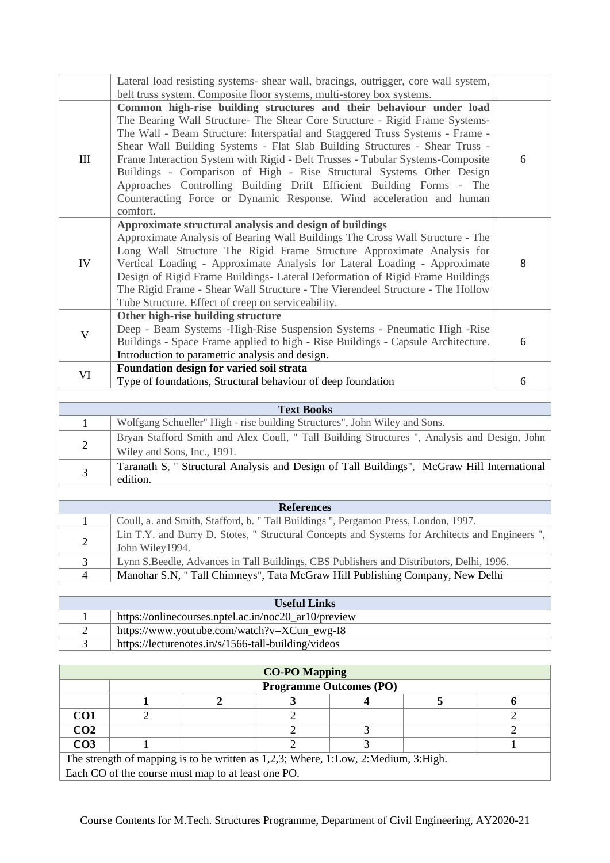|                           | Lateral load resisting systems- shear wall, bracings, outrigger, core wall system,<br>belt truss system. Composite floor systems, multi-storey box systems.                                                                                                                                                                                                                                                                                                                                                                                                                                                                               |   |  |  |  |
|---------------------------|-------------------------------------------------------------------------------------------------------------------------------------------------------------------------------------------------------------------------------------------------------------------------------------------------------------------------------------------------------------------------------------------------------------------------------------------------------------------------------------------------------------------------------------------------------------------------------------------------------------------------------------------|---|--|--|--|
| $\mathop{\rm III}$        | Common high-rise building structures and their behaviour under load<br>The Bearing Wall Structure- The Shear Core Structure - Rigid Frame Systems-<br>The Wall - Beam Structure: Interspatial and Staggered Truss Systems - Frame -<br>Shear Wall Building Systems - Flat Slab Building Structures - Shear Truss -<br>Frame Interaction System with Rigid - Belt Trusses - Tubular Systems-Composite<br>Buildings - Comparison of High - Rise Structural Systems Other Design<br>Approaches Controlling Building Drift Efficient Building Forms - The<br>Counteracting Force or Dynamic Response. Wind acceleration and human<br>comfort. | 6 |  |  |  |
| IV                        | Approximate structural analysis and design of buildings<br>Approximate Analysis of Bearing Wall Buildings The Cross Wall Structure - The<br>Long Wall Structure The Rigid Frame Structure Approximate Analysis for<br>Vertical Loading - Approximate Analysis for Lateral Loading - Approximate<br>Design of Rigid Frame Buildings- Lateral Deformation of Rigid Frame Buildings<br>The Rigid Frame - Shear Wall Structure - The Vierendeel Structure - The Hollow<br>Tube Structure. Effect of creep on serviceability.                                                                                                                  | 8 |  |  |  |
| $\boldsymbol{\mathrm{V}}$ | Other high-rise building structure<br>Deep - Beam Systems - High-Rise Suspension Systems - Pneumatic High - Rise<br>Buildings - Space Frame applied to high - Rise Buildings - Capsule Architecture.<br>Introduction to parametric analysis and design.                                                                                                                                                                                                                                                                                                                                                                                   | 6 |  |  |  |
| VI                        | Foundation design for varied soil strata<br>Type of foundations, Structural behaviour of deep foundation                                                                                                                                                                                                                                                                                                                                                                                                                                                                                                                                  | 6 |  |  |  |
|                           |                                                                                                                                                                                                                                                                                                                                                                                                                                                                                                                                                                                                                                           |   |  |  |  |
|                           | <b>Text Books</b>                                                                                                                                                                                                                                                                                                                                                                                                                                                                                                                                                                                                                         |   |  |  |  |
| $\mathbf{1}$              | Wolfgang Schueller" High - rise building Structures", John Wiley and Sons.                                                                                                                                                                                                                                                                                                                                                                                                                                                                                                                                                                |   |  |  |  |
| $\mathbf{2}$              | Bryan Stafford Smith and Alex Coull, " Tall Building Structures ", Analysis and Design, John<br>Wiley and Sons, Inc., 1991.                                                                                                                                                                                                                                                                                                                                                                                                                                                                                                               |   |  |  |  |
| 3                         | Taranath S, " Structural Analysis and Design of Tall Buildings", McGraw Hill International<br>edition.                                                                                                                                                                                                                                                                                                                                                                                                                                                                                                                                    |   |  |  |  |
|                           |                                                                                                                                                                                                                                                                                                                                                                                                                                                                                                                                                                                                                                           |   |  |  |  |
|                           | <b>References</b>                                                                                                                                                                                                                                                                                                                                                                                                                                                                                                                                                                                                                         |   |  |  |  |
| $\mathbf{1}$              | Coull, a. and Smith, Stafford, b. " Tall Buildings ", Pergamon Press, London, 1997.                                                                                                                                                                                                                                                                                                                                                                                                                                                                                                                                                       |   |  |  |  |
| $\overline{2}$            | Lin T.Y. and Burry D. Stotes, " Structural Concepts and Systems for Architects and Engineers ",<br>John Wiley1994.                                                                                                                                                                                                                                                                                                                                                                                                                                                                                                                        |   |  |  |  |
| 3                         | Lynn S.Beedle, Advances in Tall Buildings, CBS Publishers and Distributors, Delhi, 1996.                                                                                                                                                                                                                                                                                                                                                                                                                                                                                                                                                  |   |  |  |  |
| $\overline{4}$            | Manohar S.N, " Tall Chimneys", Tata McGraw Hill Publishing Company, New Delhi                                                                                                                                                                                                                                                                                                                                                                                                                                                                                                                                                             |   |  |  |  |
|                           |                                                                                                                                                                                                                                                                                                                                                                                                                                                                                                                                                                                                                                           |   |  |  |  |
|                           | <b>Useful Links</b>                                                                                                                                                                                                                                                                                                                                                                                                                                                                                                                                                                                                                       |   |  |  |  |
| $\mathbf{1}$              | https://onlinecourses.nptel.ac.in/noc20_ar10/preview                                                                                                                                                                                                                                                                                                                                                                                                                                                                                                                                                                                      |   |  |  |  |
|                           |                                                                                                                                                                                                                                                                                                                                                                                                                                                                                                                                                                                                                                           |   |  |  |  |
| $\overline{c}$<br>3       | https://www.youtube.com/watch?v=XCun_ewg-I8<br>https://lecturenotes.in/s/1566-tall-building/videos                                                                                                                                                                                                                                                                                                                                                                                                                                                                                                                                        |   |  |  |  |

| <b>CO-PO Mapping</b>                                                               |                                |                                                    |  |  |  |  |  |  |  |
|------------------------------------------------------------------------------------|--------------------------------|----------------------------------------------------|--|--|--|--|--|--|--|
|                                                                                    | <b>Programme Outcomes (PO)</b> |                                                    |  |  |  |  |  |  |  |
|                                                                                    |                                |                                                    |  |  |  |  |  |  |  |
| CO <sub>1</sub>                                                                    |                                |                                                    |  |  |  |  |  |  |  |
| CO <sub>2</sub>                                                                    |                                |                                                    |  |  |  |  |  |  |  |
| CO <sub>3</sub>                                                                    |                                |                                                    |  |  |  |  |  |  |  |
| The strength of mapping is to be written as 1,2,3; Where, 1:Low, 2:Medium, 3:High. |                                |                                                    |  |  |  |  |  |  |  |
|                                                                                    |                                | Each CO of the course must map to at least one PO. |  |  |  |  |  |  |  |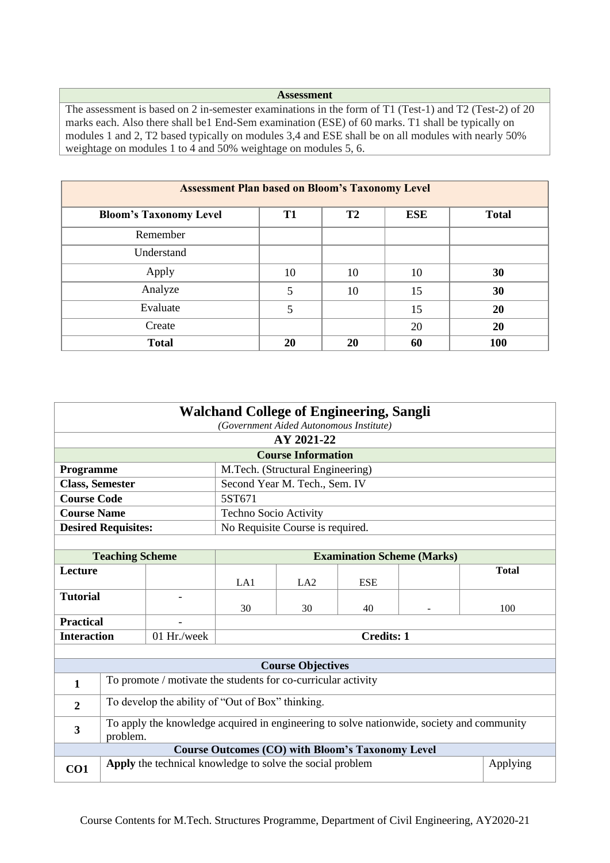#### **Assessment**

The assessment is based on 2 in-semester examinations in the form of T1 (Test-1) and T2 (Test-2) of 20 marks each. Also there shall be1 End-Sem examination (ESE) of 60 marks. T1 shall be typically on modules 1 and 2, T2 based typically on modules 3,4 and ESE shall be on all modules with nearly 50% weightage on modules 1 to 4 and 50% weightage on modules 5, 6.

| <b>Assessment Plan based on Bloom's Taxonomy Level</b> |                |                |            |              |  |  |  |
|--------------------------------------------------------|----------------|----------------|------------|--------------|--|--|--|
| <b>Bloom's Taxonomy Level</b>                          | T <sub>1</sub> | T <sub>2</sub> | <b>ESE</b> | <b>Total</b> |  |  |  |
| Remember                                               |                |                |            |              |  |  |  |
| Understand                                             |                |                |            |              |  |  |  |
| Apply                                                  | 10             | 10             | 10         | 30           |  |  |  |
| Analyze                                                | 5              | 10             | 15         | 30           |  |  |  |
| Evaluate                                               | 5              |                | 15         | 20           |  |  |  |
| Create                                                 |                |                | 20         | 20           |  |  |  |
| <b>Total</b>                                           | 20             | 20             | 60         | 100          |  |  |  |

| <b>Walchand College of Engineering, Sangli</b><br>(Government Aided Autonomous Institute)                                        |                                                  |                                                               |                       |                                                         |                                   |  |              |
|----------------------------------------------------------------------------------------------------------------------------------|--------------------------------------------------|---------------------------------------------------------------|-----------------------|---------------------------------------------------------|-----------------------------------|--|--------------|
|                                                                                                                                  |                                                  |                                                               |                       | AY 2021-22                                              |                                   |  |              |
|                                                                                                                                  |                                                  |                                                               |                       | <b>Course Information</b>                               |                                   |  |              |
| Programme                                                                                                                        |                                                  |                                                               |                       | M.Tech. (Structural Engineering)                        |                                   |  |              |
| <b>Class, Semester</b>                                                                                                           |                                                  |                                                               |                       | Second Year M. Tech., Sem. IV                           |                                   |  |              |
| <b>Course Code</b>                                                                                                               |                                                  |                                                               | 5ST671                |                                                         |                                   |  |              |
| <b>Course Name</b>                                                                                                               |                                                  |                                                               | Techno Socio Activity |                                                         |                                   |  |              |
|                                                                                                                                  | <b>Desired Requisites:</b>                       |                                                               |                       | No Requisite Course is required.                        |                                   |  |              |
|                                                                                                                                  |                                                  |                                                               |                       |                                                         |                                   |  |              |
|                                                                                                                                  | <b>Teaching Scheme</b>                           |                                                               |                       |                                                         | <b>Examination Scheme (Marks)</b> |  |              |
| <b>Lecture</b>                                                                                                                   |                                                  |                                                               | LA1                   | LA2                                                     | <b>ESE</b>                        |  | <b>Total</b> |
| <b>Tutorial</b>                                                                                                                  |                                                  |                                                               | 30                    | 30                                                      | 40                                |  | 100          |
| <b>Practical</b>                                                                                                                 |                                                  |                                                               |                       |                                                         |                                   |  |              |
| <b>Interaction</b>                                                                                                               |                                                  | 01 Hr./week                                                   | <b>Credits: 1</b>     |                                                         |                                   |  |              |
|                                                                                                                                  |                                                  |                                                               |                       |                                                         |                                   |  |              |
|                                                                                                                                  |                                                  |                                                               |                       | <b>Course Objectives</b>                                |                                   |  |              |
| $\mathbf{1}$                                                                                                                     |                                                  | To promote / motivate the students for co-curricular activity |                       |                                                         |                                   |  |              |
| $\overline{2}$                                                                                                                   | To develop the ability of "Out of Box" thinking. |                                                               |                       |                                                         |                                   |  |              |
| To apply the knowledge acquired in engineering to solve nationwide, society and community<br>$\overline{\mathbf{3}}$<br>problem. |                                                  |                                                               |                       |                                                         |                                   |  |              |
|                                                                                                                                  |                                                  |                                                               |                       | <b>Course Outcomes (CO) with Bloom's Taxonomy Level</b> |                                   |  |              |
| CO1                                                                                                                              |                                                  | Apply the technical knowledge to solve the social problem     |                       |                                                         |                                   |  | Applying     |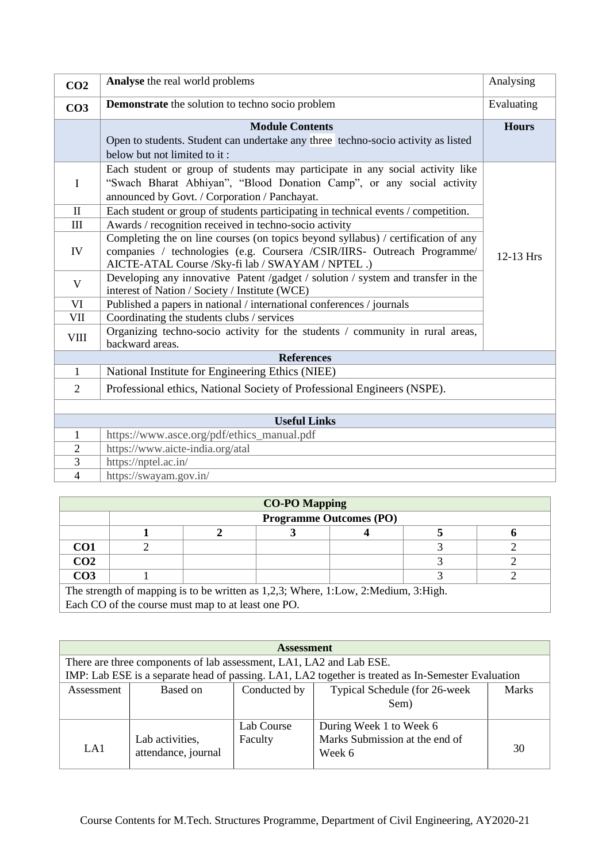| CO <sub>2</sub> | Analyse the real world problems                                                                                                                                                                                   | Analysing    |  |  |  |
|-----------------|-------------------------------------------------------------------------------------------------------------------------------------------------------------------------------------------------------------------|--------------|--|--|--|
| CO <sub>3</sub> | <b>Demonstrate</b> the solution to techno socio problem                                                                                                                                                           | Evaluating   |  |  |  |
|                 | <b>Module Contents</b>                                                                                                                                                                                            | <b>Hours</b> |  |  |  |
|                 | Open to students. Student can undertake any three techno-socio activity as listed<br>below but not limited to it:                                                                                                 |              |  |  |  |
| I               | Each student or group of students may participate in any social activity like<br>"Swach Bharat Abhiyan", "Blood Donation Camp", or any social activity<br>announced by Govt. / Corporation / Panchayat.           |              |  |  |  |
| $\mathbf{I}$    | Each student or group of students participating in technical events / competition.                                                                                                                                |              |  |  |  |
| III             | Awards / recognition received in techno-socio activity                                                                                                                                                            |              |  |  |  |
| IV              | Completing the on line courses (on topics beyond syllabus) / certification of any<br>companies / technologies (e.g. Coursera /CSIR/IIRS- Outreach Programme/<br>AICTE-ATAL Course /Sky-fi lab / SWAYAM / NPTEL .) | 12-13 Hrs    |  |  |  |
| V               | Developing any innovative Patent /gadget / solution / system and transfer in the<br>interest of Nation / Society / Institute (WCE)                                                                                |              |  |  |  |
| VI              | Published a papers in national / international conferences / journals                                                                                                                                             |              |  |  |  |
| VII             | Coordinating the students clubs / services                                                                                                                                                                        |              |  |  |  |
| <b>VIII</b>     | Organizing techno-socio activity for the students / community in rural areas,<br>backward areas.                                                                                                                  |              |  |  |  |
|                 | <b>References</b>                                                                                                                                                                                                 |              |  |  |  |
| $\mathbf{1}$    | National Institute for Engineering Ethics (NIEE)                                                                                                                                                                  |              |  |  |  |
| $\overline{2}$  | Professional ethics, National Society of Professional Engineers (NSPE).                                                                                                                                           |              |  |  |  |
|                 |                                                                                                                                                                                                                   |              |  |  |  |
|                 | <b>Useful Links</b>                                                                                                                                                                                               |              |  |  |  |
| $\mathbf{1}$    | https://www.asce.org/pdf/ethics_manual.pdf                                                                                                                                                                        |              |  |  |  |
| $\overline{2}$  | https://www.aicte-india.org/atal                                                                                                                                                                                  |              |  |  |  |
| 3               | https://nptel.ac.in/                                                                                                                                                                                              |              |  |  |  |
| $\overline{4}$  | https://swayam.gov.in/                                                                                                                                                                                            |              |  |  |  |

| <b>CO-PO Mapping</b>                                                               |                                |  |  |  |  |  |  |  |
|------------------------------------------------------------------------------------|--------------------------------|--|--|--|--|--|--|--|
|                                                                                    | <b>Programme Outcomes (PO)</b> |  |  |  |  |  |  |  |
|                                                                                    |                                |  |  |  |  |  |  |  |
| CO <sub>1</sub>                                                                    |                                |  |  |  |  |  |  |  |
| CO <sub>2</sub>                                                                    |                                |  |  |  |  |  |  |  |
| CO <sub>3</sub>                                                                    |                                |  |  |  |  |  |  |  |
| The strength of mapping is to be written as 1,2,3; Where, 1:Low, 2:Medium, 3:High. |                                |  |  |  |  |  |  |  |
| Each CO of the course must map to at least one PO.                                 |                                |  |  |  |  |  |  |  |

| <b>Assessment</b> |                                                                           |                       |                                                                                                    |    |  |  |
|-------------------|---------------------------------------------------------------------------|-----------------------|----------------------------------------------------------------------------------------------------|----|--|--|
|                   | There are three components of lab assessment, LA1, LA2 and Lab ESE.       |                       |                                                                                                    |    |  |  |
|                   |                                                                           |                       | IMP: Lab ESE is a separate head of passing. LA1, LA2 together is treated as In-Semester Evaluation |    |  |  |
| Assessment        | Typical Schedule (for 26-week<br>Conducted by<br><b>Marks</b><br>Based on |                       |                                                                                                    |    |  |  |
|                   |                                                                           |                       | Sem)                                                                                               |    |  |  |
| LA1               | Lab activities,<br>attendance, journal                                    | Lab Course<br>Faculty | During Week 1 to Week 6<br>Marks Submission at the end of<br>Week 6                                | 30 |  |  |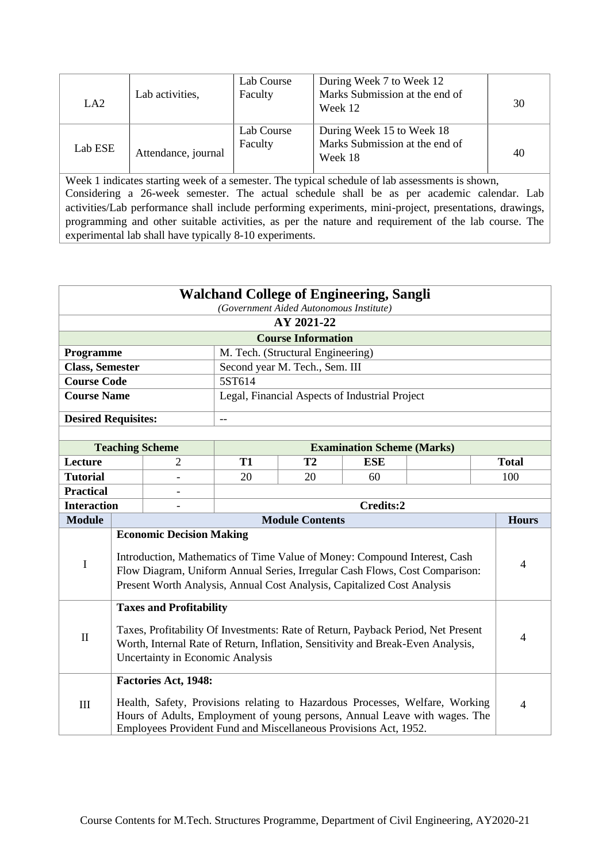| LA <sub>2</sub> | Lab activities,     | Lab Course<br>Faculty | During Week 7 to Week 12<br>Marks Submission at the end of<br>Week 12  | 30 |
|-----------------|---------------------|-----------------------|------------------------------------------------------------------------|----|
| Lab ESE         | Attendance, journal | Lab Course<br>Faculty | During Week 15 to Week 18<br>Marks Submission at the end of<br>Week 18 | 40 |

| <b>Walchand College of Engineering, Sangli</b><br>(Government Aided Autonomous Institute) |                                                                                                                                                                                                                                                                                          |                             |           |                           |                                                                  |                                                                                                                                                            |                |  |
|-------------------------------------------------------------------------------------------|------------------------------------------------------------------------------------------------------------------------------------------------------------------------------------------------------------------------------------------------------------------------------------------|-----------------------------|-----------|---------------------------|------------------------------------------------------------------|------------------------------------------------------------------------------------------------------------------------------------------------------------|----------------|--|
|                                                                                           | AY 2021-22                                                                                                                                                                                                                                                                               |                             |           |                           |                                                                  |                                                                                                                                                            |                |  |
|                                                                                           |                                                                                                                                                                                                                                                                                          |                             |           | <b>Course Information</b> |                                                                  |                                                                                                                                                            |                |  |
| Programme<br>M. Tech. (Structural Engineering)                                            |                                                                                                                                                                                                                                                                                          |                             |           |                           |                                                                  |                                                                                                                                                            |                |  |
| Second year M. Tech., Sem. III<br><b>Class, Semester</b>                                  |                                                                                                                                                                                                                                                                                          |                             |           |                           |                                                                  |                                                                                                                                                            |                |  |
| <b>Course Code</b>                                                                        |                                                                                                                                                                                                                                                                                          |                             | 5ST614    |                           |                                                                  |                                                                                                                                                            |                |  |
| <b>Course Name</b>                                                                        |                                                                                                                                                                                                                                                                                          |                             |           |                           | Legal, Financial Aspects of Industrial Project                   |                                                                                                                                                            |                |  |
| <b>Desired Requisites:</b>                                                                |                                                                                                                                                                                                                                                                                          |                             | $-$       |                           |                                                                  |                                                                                                                                                            |                |  |
|                                                                                           |                                                                                                                                                                                                                                                                                          |                             |           |                           |                                                                  |                                                                                                                                                            |                |  |
|                                                                                           |                                                                                                                                                                                                                                                                                          | <b>Teaching Scheme</b>      |           |                           | <b>Examination Scheme (Marks)</b>                                |                                                                                                                                                            |                |  |
| Lecture                                                                                   |                                                                                                                                                                                                                                                                                          | 2                           | <b>T1</b> | T <sub>2</sub>            | <b>ESE</b>                                                       |                                                                                                                                                            | <b>Total</b>   |  |
| <b>Tutorial</b>                                                                           |                                                                                                                                                                                                                                                                                          |                             | 20        | 20                        | 60                                                               |                                                                                                                                                            | 100            |  |
| <b>Practical</b><br>$\overline{a}$                                                        |                                                                                                                                                                                                                                                                                          |                             |           |                           |                                                                  |                                                                                                                                                            |                |  |
| <b>Interaction</b>                                                                        |                                                                                                                                                                                                                                                                                          |                             | Credits:2 |                           |                                                                  |                                                                                                                                                            |                |  |
| <b>Module</b>                                                                             |                                                                                                                                                                                                                                                                                          |                             |           | <b>Module Contents</b>    |                                                                  |                                                                                                                                                            | <b>Hours</b>   |  |
| I                                                                                         | <b>Economic Decision Making</b><br>Introduction, Mathematics of Time Value of Money: Compound Interest, Cash<br>$\overline{4}$<br>Flow Diagram, Uniform Annual Series, Irregular Cash Flows, Cost Comparison:<br>Present Worth Analysis, Annual Cost Analysis, Capitalized Cost Analysis |                             |           |                           |                                                                  |                                                                                                                                                            |                |  |
| $\mathbf{I}$                                                                              | <b>Taxes and Profitability</b><br>Taxes, Profitability Of Investments: Rate of Return, Payback Period, Net Present<br>$\overline{4}$<br>Worth, Internal Rate of Return, Inflation, Sensitivity and Break-Even Analysis,<br>Uncertainty in Economic Analysis                              |                             |           |                           |                                                                  |                                                                                                                                                            |                |  |
| $\mathop{\rm III}$                                                                        |                                                                                                                                                                                                                                                                                          | <b>Factories Act, 1948:</b> |           |                           | Employees Provident Fund and Miscellaneous Provisions Act, 1952. | Health, Safety, Provisions relating to Hazardous Processes, Welfare, Working<br>Hours of Adults, Employment of young persons, Annual Leave with wages. The | $\overline{4}$ |  |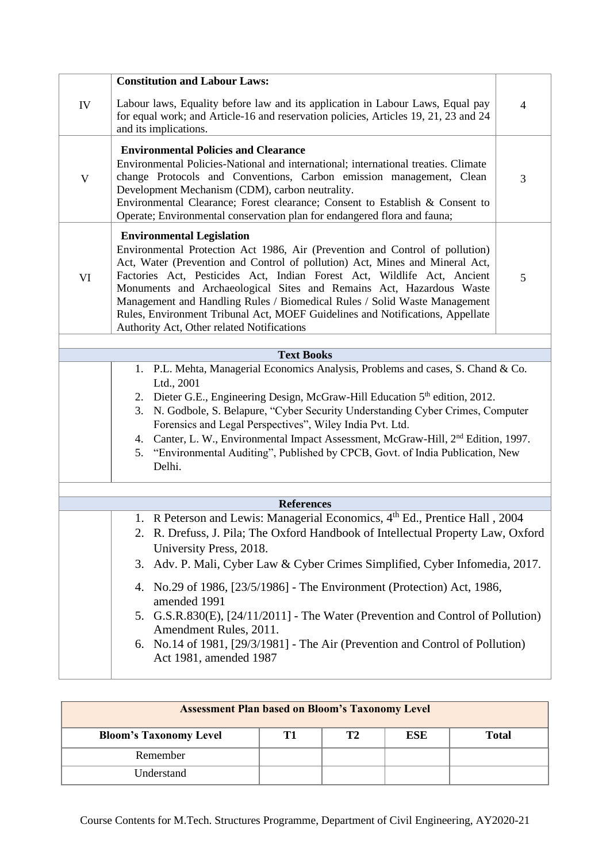|             | <b>Constitution and Labour Laws:</b>                                                                                                                                  |                |  |  |  |  |  |
|-------------|-----------------------------------------------------------------------------------------------------------------------------------------------------------------------|----------------|--|--|--|--|--|
|             |                                                                                                                                                                       |                |  |  |  |  |  |
| IV          | Labour laws, Equality before law and its application in Labour Laws, Equal pay<br>for equal work; and Article-16 and reservation policies, Articles 19, 21, 23 and 24 | $\overline{4}$ |  |  |  |  |  |
|             | and its implications.                                                                                                                                                 |                |  |  |  |  |  |
|             | <b>Environmental Policies and Clearance</b>                                                                                                                           |                |  |  |  |  |  |
|             | Environmental Policies-National and international; international treaties. Climate                                                                                    |                |  |  |  |  |  |
| $\mathbf V$ | change Protocols and Conventions, Carbon emission management, Clean<br>Development Mechanism (CDM), carbon neutrality.                                                | 3              |  |  |  |  |  |
|             | Environmental Clearance; Forest clearance; Consent to Establish & Consent to                                                                                          |                |  |  |  |  |  |
|             | Operate; Environmental conservation plan for endangered flora and fauna;                                                                                              |                |  |  |  |  |  |
|             | <b>Environmental Legislation</b>                                                                                                                                      |                |  |  |  |  |  |
|             | Environmental Protection Act 1986, Air (Prevention and Control of pollution)                                                                                          |                |  |  |  |  |  |
|             | Act, Water (Prevention and Control of pollution) Act, Mines and Mineral Act,                                                                                          |                |  |  |  |  |  |
| VI          | Factories Act, Pesticides Act, Indian Forest Act, Wildlife Act, Ancient                                                                                               | 5              |  |  |  |  |  |
|             | Monuments and Archaeological Sites and Remains Act, Hazardous Waste<br>Management and Handling Rules / Biomedical Rules / Solid Waste Management                      |                |  |  |  |  |  |
|             | Rules, Environment Tribunal Act, MOEF Guidelines and Notifications, Appellate                                                                                         |                |  |  |  |  |  |
|             | Authority Act, Other related Notifications                                                                                                                            |                |  |  |  |  |  |
|             |                                                                                                                                                                       |                |  |  |  |  |  |
|             | <b>Text Books</b>                                                                                                                                                     |                |  |  |  |  |  |
|             | 1. P.L. Mehta, Managerial Economics Analysis, Problems and cases, S. Chand & Co.<br>Ltd., 2001                                                                        |                |  |  |  |  |  |
|             | 2. Dieter G.E., Engineering Design, McGraw-Hill Education 5 <sup>th</sup> edition, 2012.                                                                              |                |  |  |  |  |  |
|             | N. Godbole, S. Belapure, "Cyber Security Understanding Cyber Crimes, Computer<br>3.                                                                                   |                |  |  |  |  |  |
|             | Forensics and Legal Perspectives", Wiley India Pvt. Ltd.                                                                                                              |                |  |  |  |  |  |
|             | Canter, L. W., Environmental Impact Assessment, McGraw-Hill, 2 <sup>nd</sup> Edition, 1997.<br>4.                                                                     |                |  |  |  |  |  |
|             | "Environmental Auditing", Published by CPCB, Govt. of India Publication, New<br>5.                                                                                    |                |  |  |  |  |  |
|             | Delhi.                                                                                                                                                                |                |  |  |  |  |  |
|             |                                                                                                                                                                       |                |  |  |  |  |  |
|             | <b>References</b>                                                                                                                                                     |                |  |  |  |  |  |
|             | 1. R Peterson and Lewis: Managerial Economics, 4 <sup>th</sup> Ed., Prentice Hall, 2004                                                                               |                |  |  |  |  |  |
|             | 2. R. Drefuss, J. Pila; The Oxford Handbook of Intellectual Property Law, Oxford                                                                                      |                |  |  |  |  |  |
|             | University Press, 2018.                                                                                                                                               |                |  |  |  |  |  |
|             | Adv. P. Mali, Cyber Law & Cyber Crimes Simplified, Cyber Infomedia, 2017.<br>3.                                                                                       |                |  |  |  |  |  |
|             | No.29 of 1986, [23/5/1986] - The Environment (Protection) Act, 1986,<br>4.<br>amended 1991                                                                            |                |  |  |  |  |  |
|             | 5. G.S.R.830(E), [24/11/2011] - The Water (Prevention and Control of Pollution)                                                                                       |                |  |  |  |  |  |
|             | Amendment Rules, 2011.                                                                                                                                                |                |  |  |  |  |  |
|             | 6. No.14 of 1981, [29/3/1981] - The Air (Prevention and Control of Pollution)                                                                                         |                |  |  |  |  |  |
|             | Act 1981, amended 1987                                                                                                                                                |                |  |  |  |  |  |
|             |                                                                                                                                                                       |                |  |  |  |  |  |

| <b>Assessment Plan based on Bloom's Taxonomy Level</b>                  |  |  |  |  |  |  |  |
|-------------------------------------------------------------------------|--|--|--|--|--|--|--|
| T2<br><b>ESE</b><br><b>Bloom's Taxonomy Level</b><br>Т1<br><b>Total</b> |  |  |  |  |  |  |  |
| Remember                                                                |  |  |  |  |  |  |  |
| Understand                                                              |  |  |  |  |  |  |  |